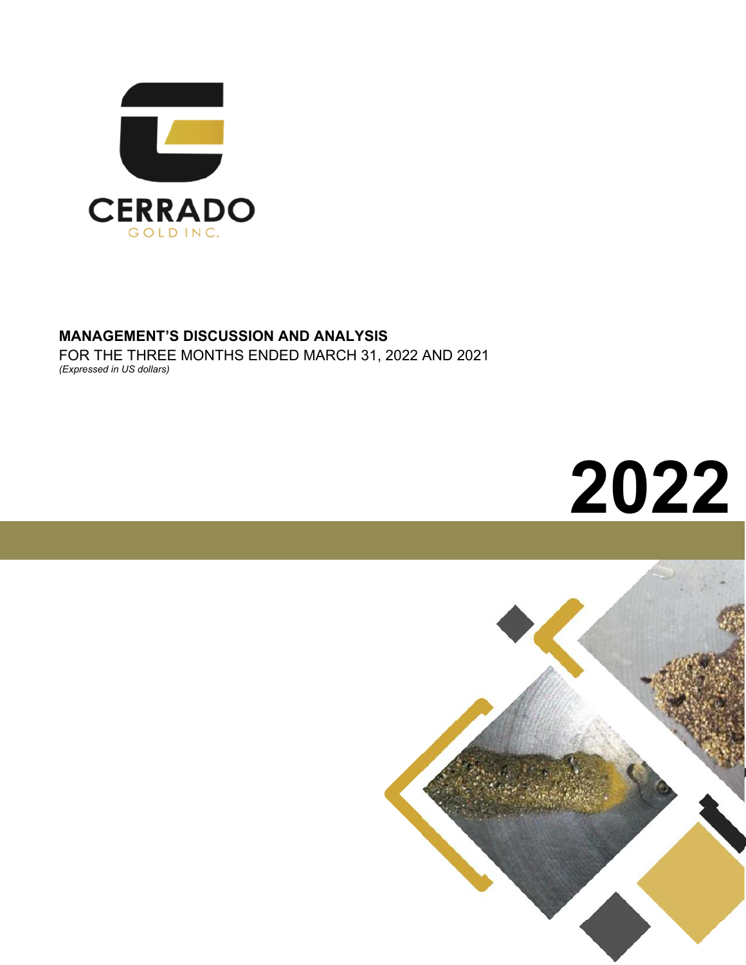

## **MANAGEMENT'S DISCUSSION AND ANALYSIS**

FOR THE THREE MONTHS ENDED MARCH 31, 2022 AND 2021 *(Expressed in US dollars)*



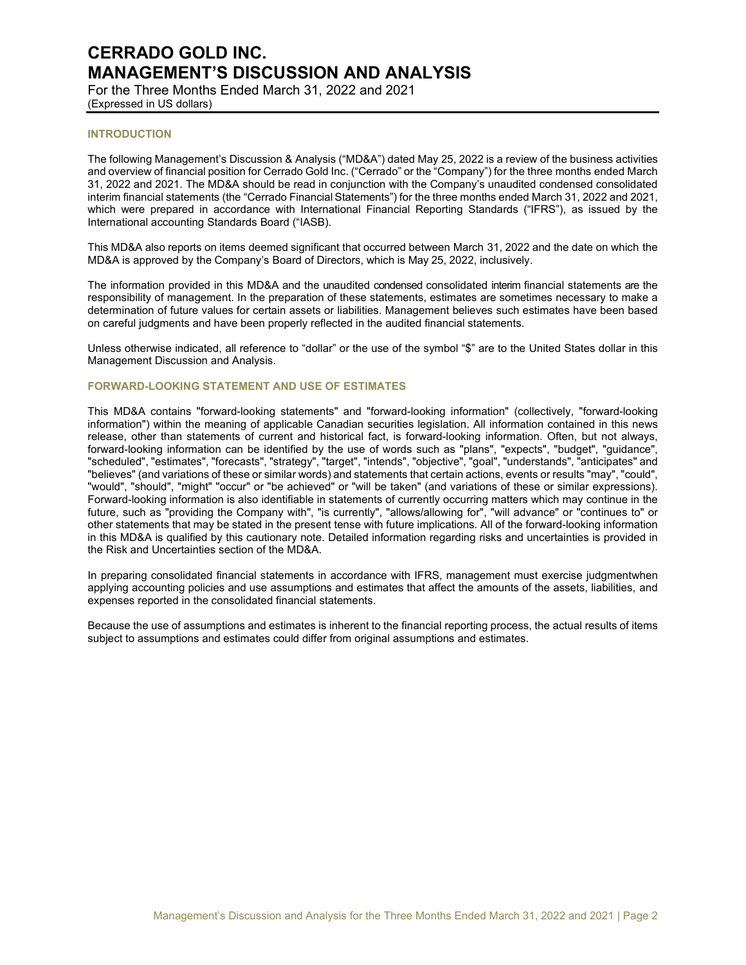For the Three Months Ended March 31, 2022 and 2021 (Expressed in US dollars)

### **INTRODUCTION**

The following Management's Discussion & Analysis ("MD&A") dated May 25, 2022 is a review of the business activities and overview of financial position for Cerrado Gold Inc. ("Cerrado" or the "Company") for the three months ended March 31, 2022 and 2021. The MD&A should be read in conjunction with the Company's unaudited condensed consolidated interim financial statements (the "Cerrado Financial Statements") for the three months ended March 31, 2022 and 2021, which were prepared in accordance with International Financial Reporting Standards ("IFRS"), as issued by the International accounting Standards Board ("IASB).

This MD&A also reports on items deemed significant that occurred between March 31, 2022 and the date on which the MD&A is approved by the Company's Board of Directors, which is May 25, 2022, inclusively.

The information provided in this MD&A and the unaudited condensed consolidated interim financial statements are the responsibility of management. In the preparation of these statements, estimates are sometimes necessary to make a determination of future values for certain assets or liabilities. Management believes such estimates have been based on careful judgments and have been properly reflected in the audited financial statements.

Unless otherwise indicated, all reference to "dollar" or the use of the symbol "\$" are to the United States dollar in this Management Discussion and Analysis.

#### **FORWARD-LOOKING STATEMENT AND USE OF ESTIMATES**

This MD&A contains "forward-looking statements" and "forward-looking information" (collectively, "forward-looking information") within the meaning of applicable Canadian securities legislation. All information contained in this news release, other than statements of current and historical fact, is forward-looking information. Often, but not always, forward-looking information can be identified by the use of words such as "plans", "expects", "budget", "guidance", "scheduled", "estimates", "forecasts", "strategy", "target", "intends", "objective", "goal", "understands", "anticipates" and "believes" (and variations of these or similar words) and statements that certain actions, events or results "may", "could", "would", "should", "might" "occur" or "be achieved" or "will be taken" (and variations of these or similar expressions). Forward-looking information is also identifiable in statements of currently occurring matters which may continue in the future, such as "providing the Company with", "is currently", "allows/allowing for", "will advance" or "continues to" or other statements that may be stated in the present tense with future implications. All of the forward-looking information in this MD&A is qualified by this cautionary note. Detailed information regarding risks and uncertainties is provided in the Risk and Uncertainties section of the MD&A.

In preparing consolidated financial statements in accordance with IFRS, management must exercise judgmentwhen applying accounting policies and use assumptions and estimates that affect the amounts of the assets, liabilities, and expenses reported in the consolidated financial statements.

Because the use of assumptions and estimates is inherent to the financial reporting process, the actual results of items subject to assumptions and estimates could differ from original assumptions and estimates.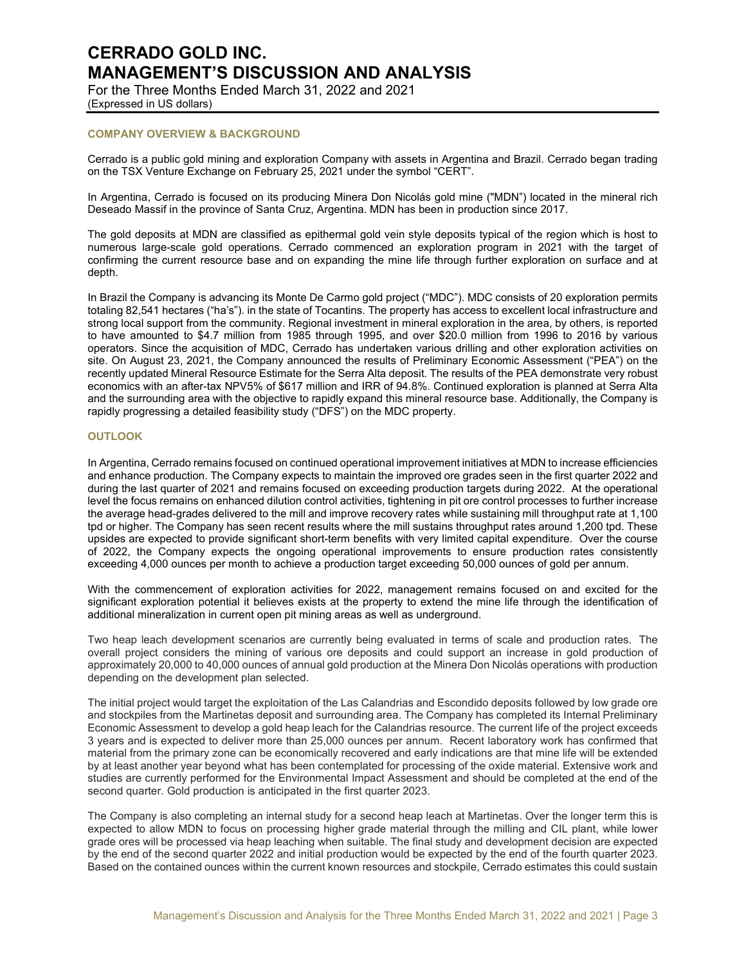For the Three Months Ended March 31, 2022 and 2021 (Expressed in US dollars)

## **COMPANY OVERVIEW & BACKGROUND**

Cerrado is a public gold mining and exploration Company with assets in Argentina and Brazil. Cerrado began trading on the TSX Venture Exchange on February 25, 2021 under the symbol "CERT".

In Argentina, Cerrado is focused on its producing Minera Don Nicolás gold mine ("MDN") located in the mineral rich Deseado Massif in the province of Santa Cruz, Argentina. MDN has been in production since 2017.

The gold deposits at MDN are classified as epithermal gold vein style deposits typical of the region which is host to numerous large-scale gold operations. Cerrado commenced an exploration program in 2021 with the target of confirming the current resource base and on expanding the mine life through further exploration on surface and at depth.

In Brazil the Company is advancing its Monte De Carmo gold project ("MDC"). MDC consists of 20 exploration permits totaling 82,541 hectares ("ha's"). in the state of Tocantins. The property has access to excellent local infrastructure and strong local support from the community. Regional investment in mineral exploration in the area, by others, is reported to have amounted to \$4.7 million from 1985 through 1995, and over \$20.0 million from 1996 to 2016 by various operators. Since the acquisition of MDC, Cerrado has undertaken various drilling and other exploration activities on site. On August 23, 2021, the Company announced the results of Preliminary Economic Assessment ("PEA") on the recently updated Mineral Resource Estimate for the Serra Alta deposit. The results of the PEA demonstrate very robust economics with an after-tax NPV5% of \$617 million and IRR of 94.8%. Continued exploration is planned at Serra Alta and the surrounding area with the objective to rapidly expand this mineral resource base. Additionally, the Company is rapidly progressing a detailed feasibility study ("DFS") on the MDC property.

### **OUTLOOK**

In Argentina, Cerrado remains focused on continued operational improvement initiatives at MDN to increase efficiencies and enhance production. The Company expects to maintain the improved ore grades seen in the first quarter 2022 and during the last quarter of 2021 and remains focused on exceeding production targets during 2022. At the operational level the focus remains on enhanced dilution control activities, tightening in pit ore control processes to further increase the average head-grades delivered to the mill and improve recovery rates while sustaining mill throughput rate at 1,100 tpd or higher. The Company has seen recent results where the mill sustains throughput rates around 1,200 tpd. These upsides are expected to provide significant short-term benefits with very limited capital expenditure. Over the course of 2022, the Company expects the ongoing operational improvements to ensure production rates consistently exceeding 4,000 ounces per month to achieve a production target exceeding 50,000 ounces of gold per annum.

With the commencement of exploration activities for 2022, management remains focused on and excited for the significant exploration potential it believes exists at the property to extend the mine life through the identification of additional mineralization in current open pit mining areas as well as underground.

Two heap leach development scenarios are currently being evaluated in terms of scale and production rates. The overall project considers the mining of various ore deposits and could support an increase in gold production of approximately 20,000 to 40,000 ounces of annual gold production at the Minera Don Nicolás operations with production depending on the development plan selected.

The initial project would target the exploitation of the Las Calandrias and Escondido deposits followed by low grade ore and stockpiles from the Martinetas deposit and surrounding area. The Company has completed its Internal Preliminary Economic Assessment to develop a gold heap leach for the Calandrias resource. The current life of the project exceeds 3 years and is expected to deliver more than 25,000 ounces per annum. Recent laboratory work has confirmed that material from the primary zone can be economically recovered and early indications are that mine life will be extended by at least another year beyond what has been contemplated for processing of the oxide material. Extensive work and studies are currently performed for the Environmental Impact Assessment and should be completed at the end of the second quarter. Gold production is anticipated in the first quarter 2023.

The Company is also completing an internal study for a second heap leach at Martinetas. Over the longer term this is expected to allow MDN to focus on processing higher grade material through the milling and CIL plant, while lower grade ores will be processed via heap leaching when suitable. The final study and development decision are expected by the end of the second quarter 2022 and initial production would be expected by the end of the fourth quarter 2023. Based on the contained ounces within the current known resources and stockpile, Cerrado estimates this could sustain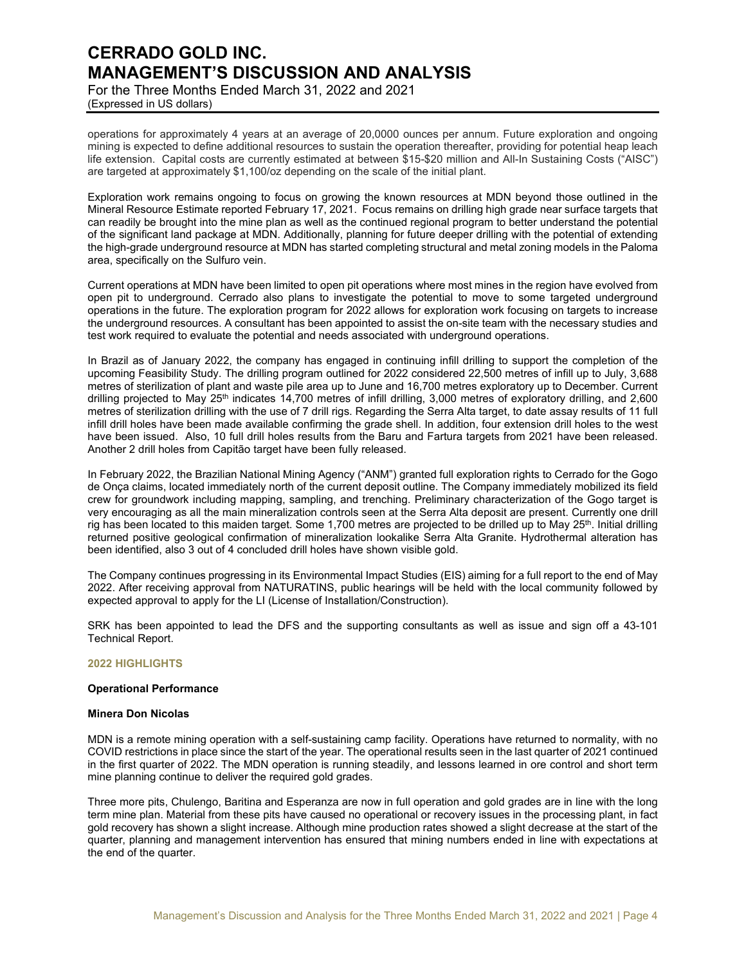For the Three Months Ended March 31, 2022 and 2021 (Expressed in US dollars)

operations for approximately 4 years at an average of 20,0000 ounces per annum. Future exploration and ongoing mining is expected to define additional resources to sustain the operation thereafter, providing for potential heap leach life extension. Capital costs are currently estimated at between \$15-\$20 million and All-In Sustaining Costs ("AISC") are targeted at approximately \$1,100/oz depending on the scale of the initial plant.

Exploration work remains ongoing to focus on growing the known resources at MDN beyond those outlined in the Mineral Resource Estimate reported February 17, 2021. Focus remains on drilling high grade near surface targets that can readily be brought into the mine plan as well as the continued regional program to better understand the potential of the significant land package at MDN. Additionally, planning for future deeper drilling with the potential of extending the high-grade underground resource at MDN has started completing structural and metal zoning models in the Paloma area, specifically on the Sulfuro vein.

Current operations at MDN have been limited to open pit operations where most mines in the region have evolved from open pit to underground. Cerrado also plans to investigate the potential to move to some targeted underground operations in the future. The exploration program for 2022 allows for exploration work focusing on targets to increase the underground resources. A consultant has been appointed to assist the on-site team with the necessary studies and test work required to evaluate the potential and needs associated with underground operations.

In Brazil as of January 2022, the company has engaged in continuing infill drilling to support the completion of the upcoming Feasibility Study. The drilling program outlined for 2022 considered 22,500 metres of infill up to July, 3,688 metres of sterilization of plant and waste pile area up to June and 16,700 metres exploratory up to December. Current drilling projected to May 25<sup>th</sup> indicates 14,700 metres of infill drilling, 3,000 metres of exploratory drilling, and 2,600 metres of sterilization drilling with the use of 7 drill rigs. Regarding the Serra Alta target, to date assay results of 11 full infill drill holes have been made available confirming the grade shell. In addition, four extension drill holes to the west have been issued. Also, 10 full drill holes results from the Baru and Fartura targets from 2021 have been released. Another 2 drill holes from Capitão target have been fully released.

In February 2022, the Brazilian National Mining Agency ("ANM") granted full exploration rights to Cerrado for the Gogo de Onça claims, located immediately north of the current deposit outline. The Company immediately mobilized its field crew for groundwork including mapping, sampling, and trenching. Preliminary characterization of the Gogo target is very encouraging as all the main mineralization controls seen at the Serra Alta deposit are present. Currently one drill rig has been located to this maiden target. Some 1,700 metres are projected to be drilled up to May 25<sup>th</sup>. Initial drilling returned positive geological confirmation of mineralization lookalike Serra Alta Granite. Hydrothermal alteration has been identified, also 3 out of 4 concluded drill holes have shown visible gold.

The Company continues progressing in its Environmental Impact Studies (EIS) aiming for a full report to the end of May 2022. After receiving approval from NATURATINS, public hearings will be held with the local community followed by expected approval to apply for the LI (License of Installation/Construction).

SRK has been appointed to lead the DFS and the supporting consultants as well as issue and sign off a 43-101 Technical Report.

## **2022 HIGHLIGHTS**

#### **Operational Performance**

## **Minera Don Nicolas**

MDN is a remote mining operation with a self-sustaining camp facility. Operations have returned to normality, with no COVID restrictions in place since the start of the year. The operational results seen in the last quarter of 2021 continued in the first quarter of 2022. The MDN operation is running steadily, and lessons learned in ore control and short term mine planning continue to deliver the required gold grades.

Three more pits, Chulengo, Baritina and Esperanza are now in full operation and gold grades are in line with the long term mine plan. Material from these pits have caused no operational or recovery issues in the processing plant, in fact gold recovery has shown a slight increase. Although mine production rates showed a slight decrease at the start of the quarter, planning and management intervention has ensured that mining numbers ended in line with expectations at the end of the quarter.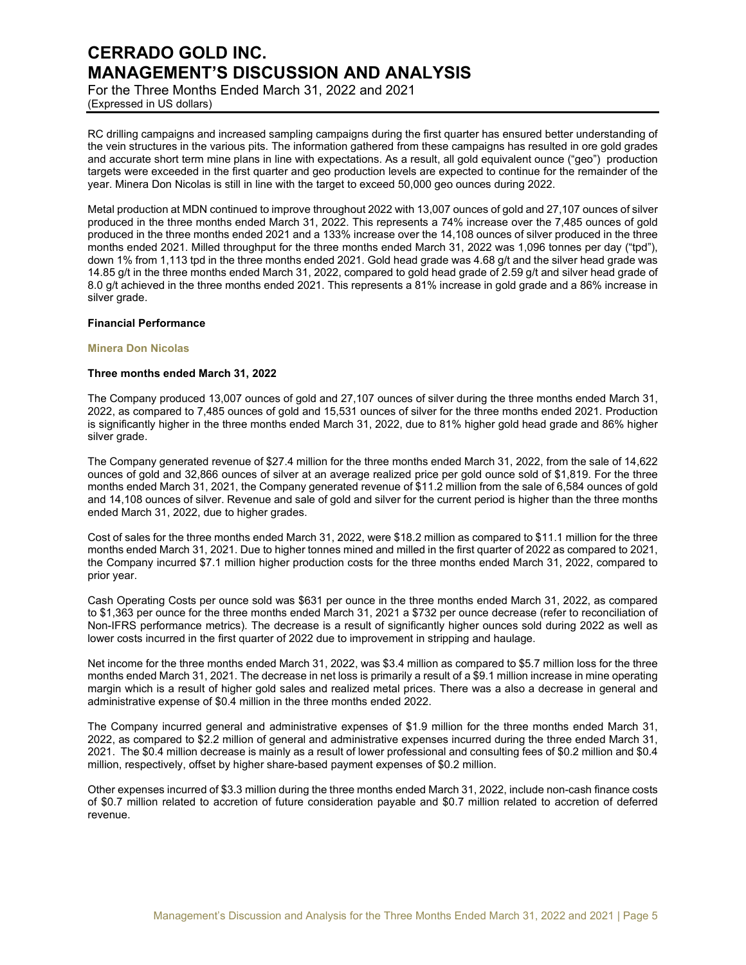For the Three Months Ended March 31, 2022 and 2021 (Expressed in US dollars)

RC drilling campaigns and increased sampling campaigns during the first quarter has ensured better understanding of the vein structures in the various pits. The information gathered from these campaigns has resulted in ore gold grades and accurate short term mine plans in line with expectations. As a result, all gold equivalent ounce ("geo") production targets were exceeded in the first quarter and geo production levels are expected to continue for the remainder of the year. Minera Don Nicolas is still in line with the target to exceed 50,000 geo ounces during 2022.

Metal production at MDN continued to improve throughout 2022 with 13,007 ounces of gold and 27,107 ounces of silver produced in the three months ended March 31, 2022. This represents a 74% increase over the 7,485 ounces of gold produced in the three months ended 2021 and a 133% increase over the 14,108 ounces of silver produced in the three months ended 2021. Milled throughput for the three months ended March 31, 2022 was 1,096 tonnes per day ("tpd"), down 1% from 1,113 tpd in the three months ended 2021. Gold head grade was 4.68 g/t and the silver head grade was 14.85 g/t in the three months ended March 31, 2022, compared to gold head grade of 2.59 g/t and silver head grade of 8.0 g/t achieved in the three months ended 2021. This represents a 81% increase in gold grade and a 86% increase in silver grade.

## **Financial Performance**

### **Minera Don Nicolas**

## **Three months ended March 31, 2022**

The Company produced 13,007 ounces of gold and 27,107 ounces of silver during the three months ended March 31, 2022, as compared to 7,485 ounces of gold and 15,531 ounces of silver for the three months ended 2021. Production is significantly higher in the three months ended March 31, 2022, due to 81% higher gold head grade and 86% higher silver grade.

The Company generated revenue of \$27.4 million for the three months ended March 31, 2022, from the sale of 14,622 ounces of gold and 32,866 ounces of silver at an average realized price per gold ounce sold of \$1,819. For the three months ended March 31, 2021, the Company generated revenue of \$11.2 million from the sale of 6,584 ounces of gold and 14,108 ounces of silver. Revenue and sale of gold and silver for the current period is higher than the three months ended March 31, 2022, due to higher grades.

Cost of sales for the three months ended March 31, 2022, were \$18.2 million as compared to \$11.1 million for the three months ended March 31, 2021. Due to higher tonnes mined and milled in the first quarter of 2022 as compared to 2021, the Company incurred \$7.1 million higher production costs for the three months ended March 31, 2022, compared to prior year.

Cash Operating Costs per ounce sold was \$631 per ounce in the three months ended March 31, 2022, as compared to \$1,363 per ounce for the three months ended March 31, 2021 a \$732 per ounce decrease (refer to reconciliation of Non-IFRS performance metrics). The decrease is a result of significantly higher ounces sold during 2022 as well as lower costs incurred in the first quarter of 2022 due to improvement in stripping and haulage.

Net income for the three months ended March 31, 2022, was \$3.4 million as compared to \$5.7 million loss for the three months ended March 31, 2021. The decrease in net loss is primarily a result of a \$9.1 million increase in mine operating margin which is a result of higher gold sales and realized metal prices. There was a also a decrease in general and administrative expense of \$0.4 million in the three months ended 2022.

The Company incurred general and administrative expenses of \$1.9 million for the three months ended March 31, 2022, as compared to \$2.2 million of general and administrative expenses incurred during the three ended March 31, 2021. The \$0.4 million decrease is mainly as a result of lower professional and consulting fees of \$0.2 million and \$0.4 million, respectively, offset by higher share-based payment expenses of \$0.2 million.

Other expenses incurred of \$3.3 million during the three months ended March 31, 2022, include non-cash finance costs of \$0.7 million related to accretion of future consideration payable and \$0.7 million related to accretion of deferred revenue.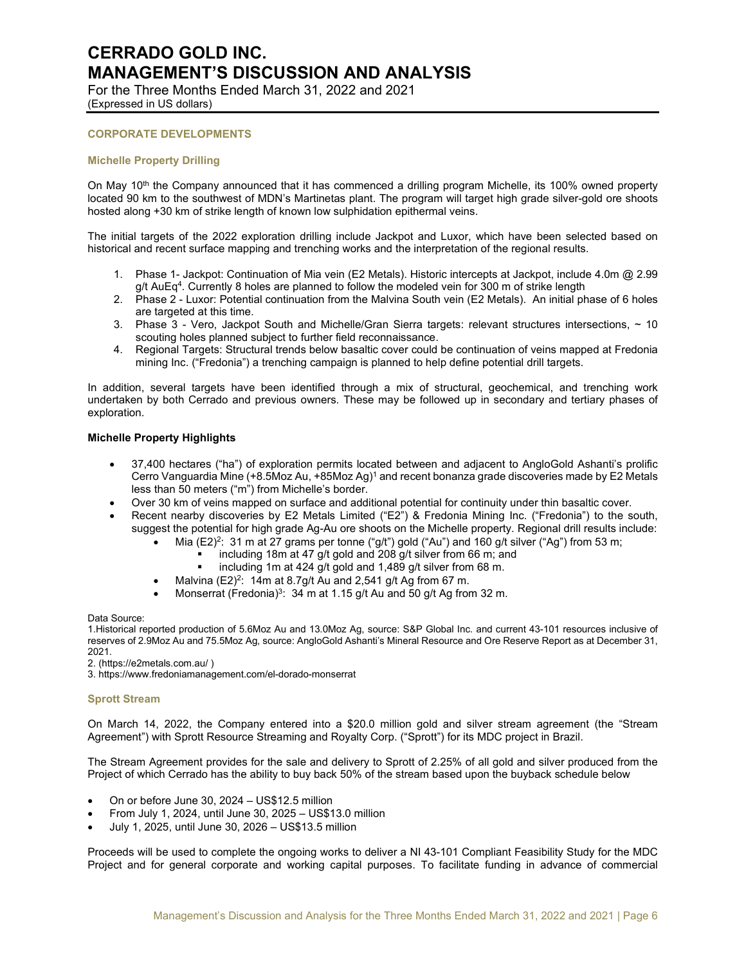For the Three Months Ended March 31, 2022 and 2021 (Expressed in US dollars)

## **CORPORATE DEVELOPMENTS**

### **Michelle Property Drilling**

On May 10<sup>th</sup> the Company announced that it has commenced a drilling program Michelle, its 100% owned property located 90 km to the southwest of MDN's Martinetas plant. The program will target high grade silver-gold ore shoots hosted along +30 km of strike length of known low sulphidation epithermal veins.

The initial targets of the 2022 exploration drilling include Jackpot and Luxor, which have been selected based on historical and recent surface mapping and trenching works and the interpretation of the regional results.

- 1. Phase 1- Jackpot: Continuation of Mia vein (E2 Metals). Historic intercepts at Jackpot, include 4.0m @ 2.99 g/t AuEq<sup>4</sup>. Currently 8 holes are planned to follow the modeled vein for 300 m of strike length
- 2. Phase 2 Luxor: Potential continuation from the Malvina South vein (E2 Metals). An initial phase of 6 holes are targeted at this time.
- 3. Phase 3 Vero, Jackpot South and Michelle/Gran Sierra targets: relevant structures intersections, ~ 10 scouting holes planned subject to further field reconnaissance.
- 4. Regional Targets: Structural trends below basaltic cover could be continuation of veins mapped at Fredonia mining Inc. ("Fredonia") a trenching campaign is planned to help define potential drill targets.

In addition, several targets have been identified through a mix of structural, geochemical, and trenching work undertaken by both Cerrado and previous owners. These may be followed up in secondary and tertiary phases of exploration.

### **Michelle Property Highlights**

- 37,400 hectares ("ha") of exploration permits located between and adjacent to AngloGold Ashanti's prolific Cerro Vanguardia Mine (+8.5Moz Au, +85Moz Ag)<sup>1</sup> and recent bonanza grade discoveries made by E2 Metals less than 50 meters ("m") from Michelle's border.
- Over 30 km of veins mapped on surface and additional potential for continuity under thin basaltic cover.
- Recent nearby discoveries by E2 Metals Limited ("E2") & Fredonia Mining Inc. ("Fredonia") to the south, suggest the potential for high grade Ag-Au ore shoots on the Michelle property. Regional drill results include:
	- Mia  $(E2)^2$ : 31 m at 27 grams per tonne ("g/t") gold ("Au") and 160 g/t silver ("Ag") from 53 m;
		- including 18m at 47 g/t gold and 208 g/t silver from 66 m; and
		- including 1m at 424 g/t gold and 1,489 g/t silver from 68 m.
	- Malvina (E2)<sup>2</sup>:  $14m$  at 8.7g/t Au and 2,541 g/t Ag from 67 m.
	- Monserrat (Fredonia)<sup>3</sup>:  $34 \text{ m}$  at 1.15 g/t Au and 50 g/t Ag from 32 m.

Data Source:

1.Historical reported production of 5.6Moz Au and 13.0Moz Ag, source: S&P Global Inc. and current 43-101 resources inclusive of reserves of 2.9Moz Au and 75.5Moz Ag, source: AngloGold Ashanti's Mineral Resource and Ore Reserve Report as at December 31, 2021.

2. (https://e2metals.com.au/ )

3. https://www.fredoniamanagement.com/el-dorado-monserrat

#### **Sprott Stream**

On March 14, 2022, the Company entered into a \$20.0 million gold and silver stream agreement (the "Stream Agreement") with Sprott Resource Streaming and Royalty Corp. ("Sprott") for its MDC project in Brazil.

The Stream Agreement provides for the sale and delivery to Sprott of 2.25% of all gold and silver produced from the Project of which Cerrado has the ability to buy back 50% of the stream based upon the buyback schedule below

- On or before June 30, 2024 US\$12.5 million
- From July 1, 2024, until June 30, 2025 US\$13.0 million
- July 1, 2025, until June 30, 2026 US\$13.5 million

Proceeds will be used to complete the ongoing works to deliver a NI 43-101 Compliant Feasibility Study for the MDC Project and for general corporate and working capital purposes. To facilitate funding in advance of commercial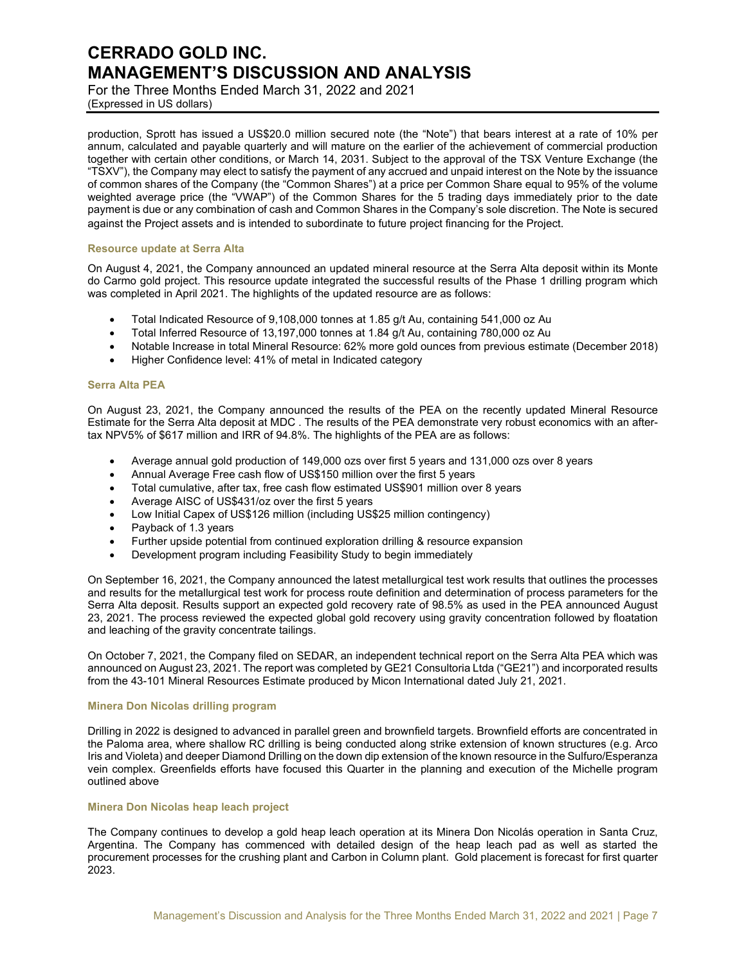For the Three Months Ended March 31, 2022 and 2021 (Expressed in US dollars)

production, Sprott has issued a US\$20.0 million secured note (the "Note") that bears interest at a rate of 10% per annum, calculated and payable quarterly and will mature on the earlier of the achievement of commercial production together with certain other conditions, or March 14, 2031. Subject to the approval of the TSX Venture Exchange (the "TSXV"), the Company may elect to satisfy the payment of any accrued and unpaid interest on the Note by the issuance of common shares of the Company (the "Common Shares") at a price per Common Share equal to 95% of the volume weighted average price (the "VWAP") of the Common Shares for the 5 trading days immediately prior to the date payment is due or any combination of cash and Common Shares in the Company's sole discretion. The Note is secured against the Project assets and is intended to subordinate to future project financing for the Project.

### **Resource update at Serra Alta**

On August 4, 2021, the Company announced an updated mineral resource at the Serra Alta deposit within its Monte do Carmo gold project. This resource update integrated the successful results of the Phase 1 drilling program which was completed in April 2021. The highlights of the updated resource are as follows:

- Total Indicated Resource of 9,108,000 tonnes at 1.85 g/t Au, containing 541,000 oz Au
- Total Inferred Resource of 13,197,000 tonnes at 1.84 g/t Au, containing 780,000 oz Au
- Notable Increase in total Mineral Resource: 62% more gold ounces from previous estimate (December 2018)
- Higher Confidence level: 41% of metal in Indicated category

#### **Serra Alta PEA**

On August 23, 2021, the Company announced the results of the PEA on the recently updated Mineral Resource Estimate for the Serra Alta deposit at MDC . The results of the PEA demonstrate very robust economics with an aftertax NPV5% of \$617 million and IRR of 94.8%. The highlights of the PEA are as follows:

- Average annual gold production of 149,000 ozs over first 5 years and 131,000 ozs over 8 years
- Annual Average Free cash flow of US\$150 million over the first 5 years
- Total cumulative, after tax, free cash flow estimated US\$901 million over 8 years
- Average AISC of US\$431/oz over the first 5 years
- Low Initial Capex of US\$126 million (including US\$25 million contingency)
- Payback of 1.3 years
- Further upside potential from continued exploration drilling & resource expansion
- Development program including Feasibility Study to begin immediately

On September 16, 2021, the Company announced the latest metallurgical test work results that outlines the processes and results for the metallurgical test work for process route definition and determination of process parameters for the Serra Alta deposit. Results support an expected gold recovery rate of 98.5% as used in the PEA announced August 23, 2021. The process reviewed the expected global gold recovery using gravity concentration followed by floatation and leaching of the gravity concentrate tailings.

On October 7, 2021, the Company filed on SEDAR, an independent technical report on the Serra Alta PEA which was announced on August 23, 2021. The report was completed by GE21 Consultoria Ltda ("GE21") and incorporated results from the 43-101 Mineral Resources Estimate produced by Micon International dated July 21, 2021.

#### **Minera Don Nicolas drilling program**

Drilling in 2022 is designed to advanced in parallel green and brownfield targets. Brownfield efforts are concentrated in the Paloma area, where shallow RC drilling is being conducted along strike extension of known structures (e.g. Arco Iris and Violeta) and deeper Diamond Drilling on the down dip extension of the known resource in the Sulfuro/Esperanza vein complex. Greenfields efforts have focused this Quarter in the planning and execution of the Michelle program outlined above

#### **Minera Don Nicolas heap leach project**

The Company continues to develop a gold heap leach operation at its Minera Don Nicolás operation in Santa Cruz, Argentina. The Company has commenced with detailed design of the heap leach pad as well as started the procurement processes for the crushing plant and Carbon in Column plant. Gold placement is forecast for first quarter 2023.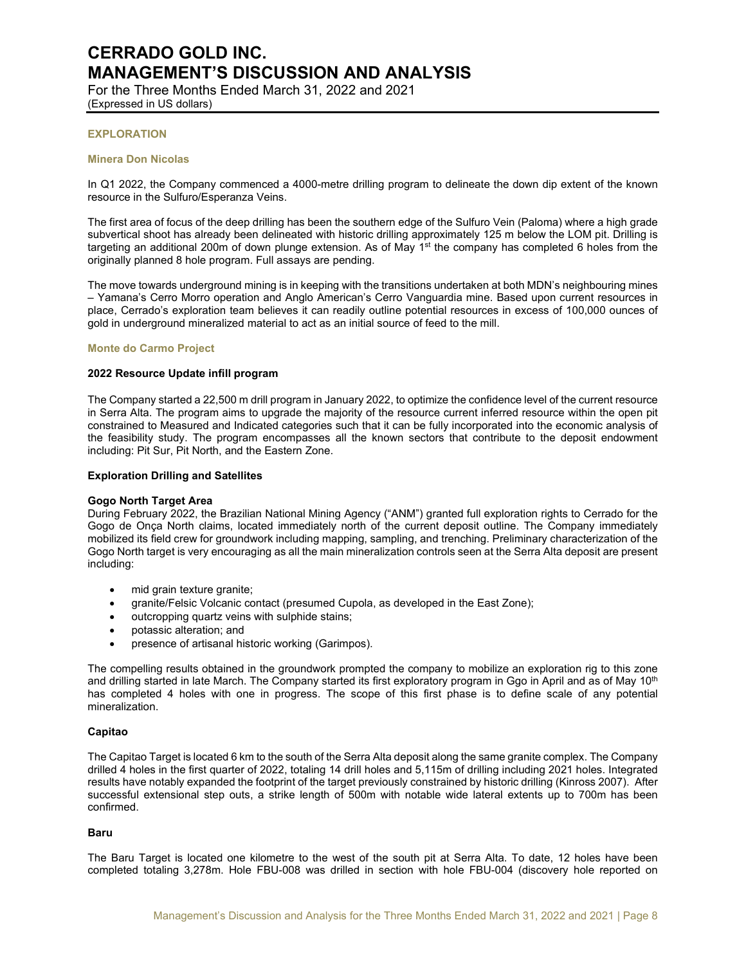For the Three Months Ended March 31, 2022 and 2021 (Expressed in US dollars)

## **EXPLORATION**

#### **Minera Don Nicolas**

In Q1 2022, the Company commenced a 4000-metre drilling program to delineate the down dip extent of the known resource in the Sulfuro/Esperanza Veins.

The first area of focus of the deep drilling has been the southern edge of the Sulfuro Vein (Paloma) where a high grade subvertical shoot has already been delineated with historic drilling approximately 125 m below the LOM pit. Drilling is targeting an additional 200m of down plunge extension. As of May  $1<sup>st</sup>$  the company has completed 6 holes from the originally planned 8 hole program. Full assays are pending.

The move towards underground mining is in keeping with the transitions undertaken at both MDN's neighbouring mines – Yamana's Cerro Morro operation and Anglo American's Cerro Vanguardia mine. Based upon current resources in place, Cerrado's exploration team believes it can readily outline potential resources in excess of 100,000 ounces of gold in underground mineralized material to act as an initial source of feed to the mill.

### **Monte do Carmo Project**

### **2022 Resource Update infill program**

The Company started a 22,500 m drill program in January 2022, to optimize the confidence level of the current resource in Serra Alta. The program aims to upgrade the majority of the resource current inferred resource within the open pit constrained to Measured and Indicated categories such that it can be fully incorporated into the economic analysis of the feasibility study. The program encompasses all the known sectors that contribute to the deposit endowment including: Pit Sur, Pit North, and the Eastern Zone.

#### **Exploration Drilling and Satellites**

#### **Gogo North Target Area**

During February 2022, the Brazilian National Mining Agency ("ANM") granted full exploration rights to Cerrado for the Gogo de Onça North claims, located immediately north of the current deposit outline. The Company immediately mobilized its field crew for groundwork including mapping, sampling, and trenching. Preliminary characterization of the Gogo North target is very encouraging as all the main mineralization controls seen at the Serra Alta deposit are present including:

- mid grain texture granite;
- granite/Felsic Volcanic contact (presumed Cupola, as developed in the East Zone);
- outcropping quartz veins with sulphide stains;
- potassic alteration; and
- presence of artisanal historic working (Garimpos).

The compelling results obtained in the groundwork prompted the company to mobilize an exploration rig to this zone and drilling started in late March. The Company started its first exploratory program in Ggo in April and as of May 10<sup>th</sup> has completed 4 holes with one in progress. The scope of this first phase is to define scale of any potential mineralization.

#### **Capitao**

The Capitao Target is located 6 km to the south of the Serra Alta deposit along the same granite complex. The Company drilled 4 holes in the first quarter of 2022, totaling 14 drill holes and 5,115m of drilling including 2021 holes. Integrated results have notably expanded the footprint of the target previously constrained by historic drilling (Kinross 2007). After successful extensional step outs, a strike length of 500m with notable wide lateral extents up to 700m has been confirmed.

## **Baru**

The Baru Target is located one kilometre to the west of the south pit at Serra Alta. To date, 12 holes have been completed totaling 3,278m. Hole FBU-008 was drilled in section with hole FBU-004 (discovery hole reported on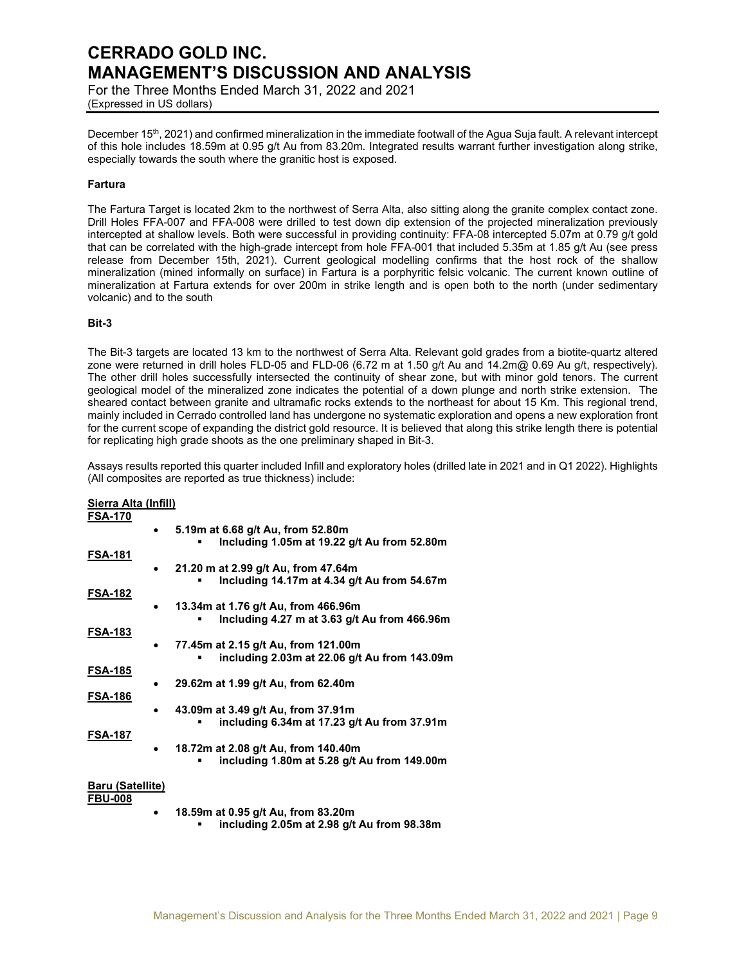For the Three Months Ended March 31, 2022 and 2021 (Expressed in US dollars)

December 15<sup>th</sup>, 2021) and confirmed mineralization in the immediate footwall of the Agua Suja fault. A relevant intercept of this hole includes 18.59m at 0.95 g/t Au from 83.20m. Integrated results warrant further investigation along strike, especially towards the south where the granitic host is exposed.

## **Fartura**

The Fartura Target is located 2km to the northwest of Serra Alta, also sitting along the granite complex contact zone. Drill Holes FFA-007 and FFA-008 were drilled to test down dip extension of the projected mineralization previously intercepted at shallow levels. Both were successful in providing continuity: FFA-08 intercepted 5.07m at 0.79 g/t gold that can be correlated with the high-grade intercept from hole FFA-001 that included 5.35m at 1.85 g/t Au (see press release from December 15th, 2021). Current geological modelling confirms that the host rock of the shallow mineralization (mined informally on surface) in Fartura is a porphyritic felsic volcanic. The current known outline of mineralization at Fartura extends for over 200m in strike length and is open both to the north (under sedimentary volcanic) and to the south

## **Bit-3**

The Bit-3 targets are located 13 km to the northwest of Serra Alta. Relevant gold grades from a biotite-quartz altered zone were returned in drill holes FLD-05 and FLD-06 (6.72 m at 1.50 g/t Au and 14.2m@ 0.69 Au g/t, respectively). The other drill holes successfully intersected the continuity of shear zone, but with minor gold tenors. The current geological model of the mineralized zone indicates the potential of a down plunge and north strike extension. The sheared contact between granite and ultramafic rocks extends to the northeast for about 15 Km. This regional trend, mainly included in Cerrado controlled land has undergone no systematic exploration and opens a new exploration front for the current scope of expanding the district gold resource. It is believed that along this strike length there is potential for replicating high grade shoots as the one preliminary shaped in Bit-3.

Assays results reported this quarter included Infill and exploratory holes (drilled late in 2021 and in Q1 2022). Highlights (All composites are reported as true thickness) include:

## **Sierra Alta (Infill) FSA-170**

|                  | 5.19m at 6.68 g/t Au, from 52.80m            |
|------------------|----------------------------------------------|
| FSA-181          | Including 1.05m at 19.22 g/t Au from 52.80m  |
|                  | 21.20 m at 2.99 g/t Au, from 47.64m          |
|                  | Including 14.17m at 4.34 g/t Au from 54.67m  |
| FSA-182          | 13.34m at 1.76 g/t Au, from 466.96m          |
|                  | Including 4.27 m at 3.63 g/t Au from 466.96m |
| FSA-183          |                                              |
|                  | 77.45m at 2.15 g/t Au, from 121.00m          |
|                  | including 2.03m at 22.06 g/t Au from 143.09m |
| FSA-185          |                                              |
|                  | 29.62m at 1.99 g/t Au, from 62.40m           |
| FSA-186          |                                              |
|                  | 43.09m at 3.49 g/t Au, from 37.91m           |
|                  | including 6.34m at 17.23 g/t Au from 37.91m  |
| FSA-187          |                                              |
|                  | 18.72m at 2.08 g/t Au, from 140.40m          |
|                  | including 1.80m at 5.28 g/t Au from 149.00m  |
| Baru (Satellite) |                                              |
| <b>FRU 888</b>   |                                              |

- **FBU-008**
- **18.59m at 0.95 g/t Au, from 83.20m** 
	- **including 2.05m at 2.98 g/t Au from 98.38m**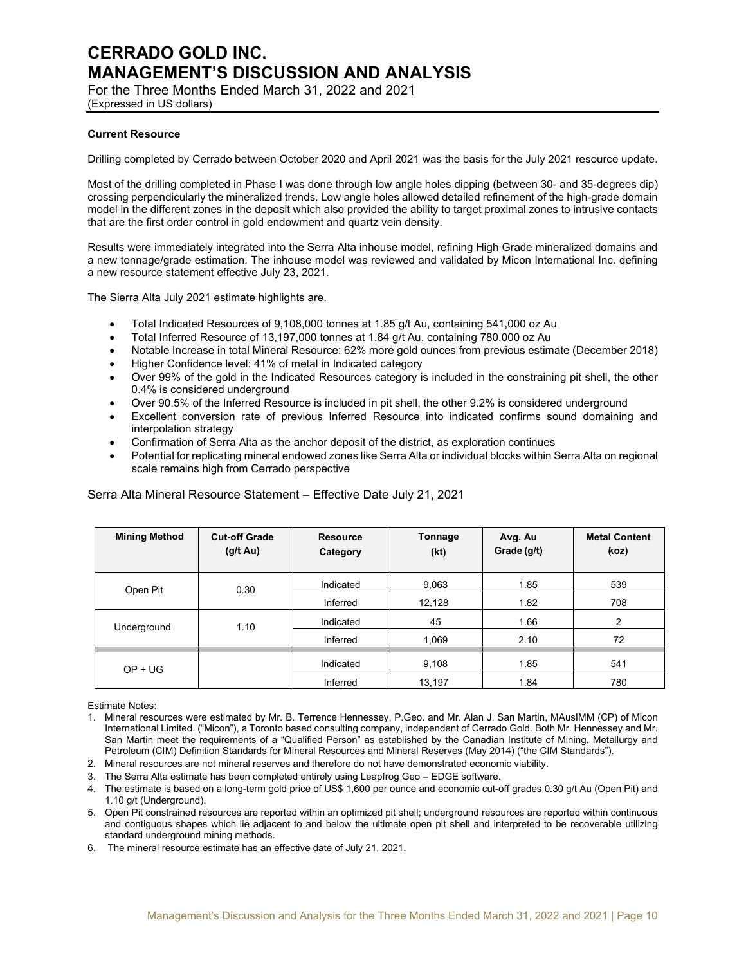For the Three Months Ended March 31, 2022 and 2021 (Expressed in US dollars)

## **Current Resource**

Drilling completed by Cerrado between October 2020 and April 2021 was the basis for the July 2021 resource update.

Most of the drilling completed in Phase I was done through low angle holes dipping (between 30- and 35-degrees dip) crossing perpendicularly the mineralized trends. Low angle holes allowed detailed refinement of the high-grade domain model in the different zones in the deposit which also provided the ability to target proximal zones to intrusive contacts that are the first order control in gold endowment and quartz vein density.

Results were immediately integrated into the Serra Alta inhouse model, refining High Grade mineralized domains and a new tonnage/grade estimation. The inhouse model was reviewed and validated by Micon International Inc. defining a new resource statement effective July 23, 2021.

The Sierra Alta July 2021 estimate highlights are.

- Total Indicated Resources of 9,108,000 tonnes at 1.85 g/t Au, containing 541,000 oz Au
- Total Inferred Resource of 13,197,000 tonnes at 1.84 g/t Au, containing 780,000 oz Au
- Notable Increase in total Mineral Resource: 62% more gold ounces from previous estimate (December 2018)
- Higher Confidence level: 41% of metal in Indicated category
- Over 99% of the gold in the Indicated Resources category is included in the constraining pit shell, the other 0.4% is considered underground
- Over 90.5% of the Inferred Resource is included in pit shell, the other 9.2% is considered underground
- Excellent conversion rate of previous Inferred Resource into indicated confirms sound domaining and interpolation strategy
- Confirmation of Serra Alta as the anchor deposit of the district, as exploration continues
- Potential for replicating mineral endowed zones like Serra Alta or individual blocks within Serra Alta on regional scale remains high from Cerrado perspective

| <b>Mining Method</b> | <b>Cut-off Grade</b><br>$(g/t \text{ Au})$ | <b>Resource</b><br>Category | Tonnage<br>(kt) | Avg. Au<br>Grade (g/t) | <b>Metal Content</b><br>(koz |
|----------------------|--------------------------------------------|-----------------------------|-----------------|------------------------|------------------------------|
| Open Pit             | 0.30                                       | Indicated                   | 9,063           | 1.85                   | 539                          |
|                      |                                            | Inferred                    | 12,128          | 1.82                   | 708                          |
| Underground          | 1.10                                       | Indicated                   | 45              | 1.66                   | 2                            |
|                      |                                            | Inferred                    | 1,069           | 2.10                   | 72                           |
| $OP + UG$            |                                            | Indicated                   | 9,108           | 1.85                   | 541                          |
|                      |                                            | Inferred                    | 13,197          | 1.84                   | 780                          |

Serra Alta Mineral Resource Statement – Effective Date July 21, 2021

Estimate Notes:

- 1. Mineral resources were estimated by Mr. B. Terrence Hennessey, P.Geo. and Mr. Alan J. San Martin, MAusIMM (CP) of Micon International Limited. ("Micon"), a Toronto based consulting company, independent of Cerrado Gold. Both Mr. Hennessey and Mr. San Martin meet the requirements of a "Qualified Person" as established by the Canadian Institute of Mining, Metallurgy and Petroleum (CIM) Definition Standards for Mineral Resources and Mineral Reserves (May 2014) ("the CIM Standards").
- 2. Mineral resources are not mineral reserves and therefore do not have demonstrated economic viability.
- 3. The Serra Alta estimate has been completed entirely using Leapfrog Geo EDGE software.
- 4. The estimate is based on a long-term gold price of US\$ 1,600 per ounce and economic cut-off grades 0.30 g/t Au (Open Pit) and 1.10 g/t (Underground).
- 5. Open Pit constrained resources are reported within an optimized pit shell; underground resources are reported within continuous and contiguous shapes which lie adjacent to and below the ultimate open pit shell and interpreted to be recoverable utilizing standard underground mining methods.
- 6. The mineral resource estimate has an effective date of July 21, 2021.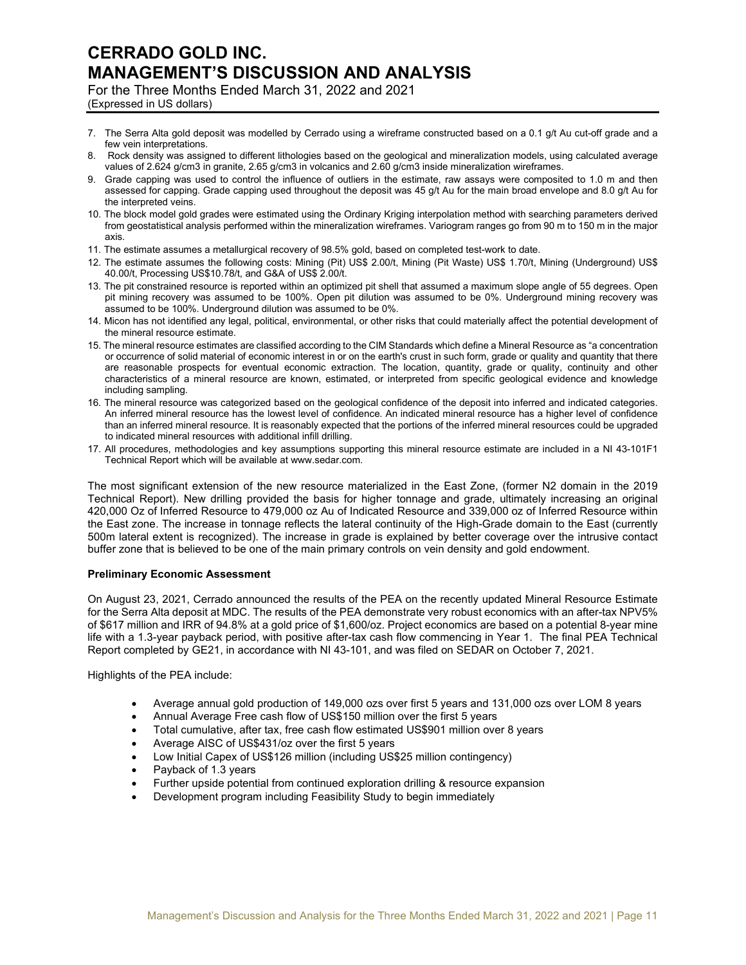For the Three Months Ended March 31, 2022 and 2021 (Expressed in US dollars)

- 7. The Serra Alta gold deposit was modelled by Cerrado using a wireframe constructed based on a 0.1 g/t Au cut-off grade and a few vein interpretations.
- 8. Rock density was assigned to different lithologies based on the geological and mineralization models, using calculated average values of 2.624 g/cm3 in granite, 2.65 g/cm3 in volcanics and 2.60 g/cm3 inside mineralization wireframes.
- 9. Grade capping was used to control the influence of outliers in the estimate, raw assays were composited to 1.0 m and then assessed for capping. Grade capping used throughout the deposit was 45 g/t Au for the main broad envelope and 8.0 g/t Au for the interpreted veins.
- 10. The block model gold grades were estimated using the Ordinary Kriging interpolation method with searching parameters derived from geostatistical analysis performed within the mineralization wireframes. Variogram ranges go from 90 m to 150 m in the major axis.
- 11. The estimate assumes a metallurgical recovery of 98.5% gold, based on completed test-work to date.
- 12. The estimate assumes the following costs: Mining (Pit) US\$ 2.00/t, Mining (Pit Waste) US\$ 1.70/t, Mining (Underground) US\$ 40.00/t, Processing US\$10.78/t, and G&A of US\$ 2.00/t.
- 13. The pit constrained resource is reported within an optimized pit shell that assumed a maximum slope angle of 55 degrees. Open pit mining recovery was assumed to be 100%. Open pit dilution was assumed to be 0%. Underground mining recovery was assumed to be 100%. Underground dilution was assumed to be 0%.
- 14. Micon has not identified any legal, political, environmental, or other risks that could materially affect the potential development of the mineral resource estimate.
- 15. The mineral resource estimates are classified according to the CIM Standards which define a Mineral Resource as "a concentration or occurrence of solid material of economic interest in or on the earth's crust in such form, grade or quality and quantity that there are reasonable prospects for eventual economic extraction. The location, quantity, grade or quality, continuity and other characteristics of a mineral resource are known, estimated, or interpreted from specific geological evidence and knowledge including sampling.
- 16. The mineral resource was categorized based on the geological confidence of the deposit into inferred and indicated categories. An inferred mineral resource has the lowest level of confidence. An indicated mineral resource has a higher level of confidence than an inferred mineral resource. It is reasonably expected that the portions of the inferred mineral resources could be upgraded to indicated mineral resources with additional infill drilling.
- 17. All procedures, methodologies and key assumptions supporting this mineral resource estimate are included in a NI 43-101F1 Technical Report which will be available at www.sedar.com.

The most significant extension of the new resource materialized in the East Zone, (former N2 domain in the 2019 Technical Report). New drilling provided the basis for higher tonnage and grade, ultimately increasing an original 420,000 Oz of Inferred Resource to 479,000 oz Au of Indicated Resource and 339,000 oz of Inferred Resource within the East zone. The increase in tonnage reflects the lateral continuity of the High-Grade domain to the East (currently 500m lateral extent is recognized). The increase in grade is explained by better coverage over the intrusive contact buffer zone that is believed to be one of the main primary controls on vein density and gold endowment.

## **Preliminary Economic Assessment**

On August 23, 2021, Cerrado announced the results of the PEA on the recently updated Mineral Resource Estimate for the Serra Alta deposit at MDC. The results of the PEA demonstrate very robust economics with an after-tax NPV5% of \$617 million and IRR of 94.8% at a gold price of \$1,600/oz. Project economics are based on a potential 8-year mine life with a 1.3-year payback period, with positive after-tax cash flow commencing in Year 1. The final PEA Technical Report completed by GE21, in accordance with NI 43-101, and was filed on SEDAR on October 7, 2021.

Highlights of the PEA include:

- Average annual gold production of 149,000 ozs over first 5 years and 131,000 ozs over LOM 8 years
- Annual Average Free cash flow of US\$150 million over the first 5 years
- Total cumulative, after tax, free cash flow estimated US\$901 million over 8 years
- Average AISC of US\$431/oz over the first 5 years
- Low Initial Capex of US\$126 million (including US\$25 million contingency)
- Payback of 1.3 years
- Further upside potential from continued exploration drilling & resource expansion
- Development program including Feasibility Study to begin immediately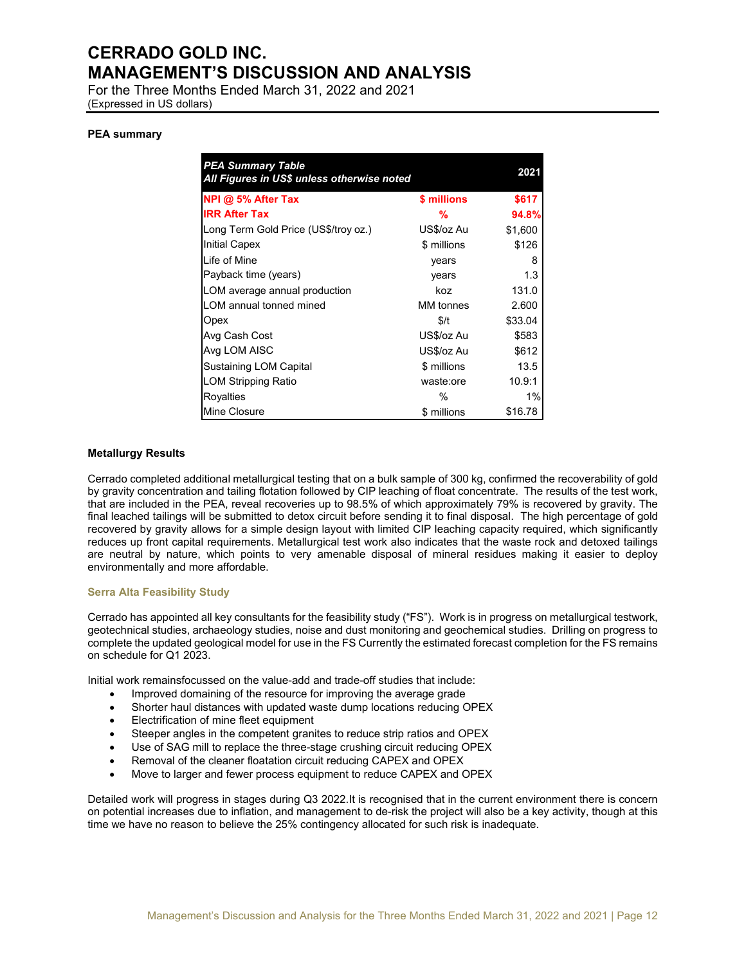For the Three Months Ended March 31, 2022 and 2021 (Expressed in US dollars)

### **PEA summary**

| <b>PEA Summary Table</b><br>All Figures in US\$ unless otherwise noted |             | 2021    |
|------------------------------------------------------------------------|-------------|---------|
| NPI @ 5% After Tax                                                     | \$ millions | \$617   |
| <b>IRR After Tax</b>                                                   | %           | 94.8%   |
| Long Term Gold Price (US\$/troy oz.)                                   | US\$/oz Au  | \$1,600 |
| <b>Initial Capex</b>                                                   | \$ millions | \$126   |
| Life of Mine                                                           | years       | 8       |
| Payback time (years)                                                   | years       | 1.3     |
| LOM average annual production                                          | koz         | 131.0   |
| LOM annual tonned mined                                                | MM tonnes   | 2.600   |
| Opex                                                                   | \$/t        | \$33.04 |
| Avg Cash Cost                                                          | US\$/oz Au  | \$583   |
| Avg LOM AISC                                                           | US\$/oz Au  | \$612   |
| Sustaining LOM Capital                                                 | \$ millions | 13.5    |
| <b>LOM Stripping Ratio</b>                                             | waste:ore   | 10.9:1  |
| <b>Royalties</b>                                                       | $\%$        | $1\%$   |
| <b>Mine Closure</b>                                                    | \$ millions | \$16.78 |

### **Metallurgy Results**

Cerrado completed additional metallurgical testing that on a bulk sample of 300 kg, confirmed the recoverability of gold by gravity concentration and tailing flotation followed by CIP leaching of float concentrate. The results of the test work, that are included in the PEA, reveal recoveries up to 98.5% of which approximately 79% is recovered by gravity. The final leached tailings will be submitted to detox circuit before sending it to final disposal. The high percentage of gold recovered by gravity allows for a simple design layout with limited CIP leaching capacity required, which significantly reduces up front capital requirements. Metallurgical test work also indicates that the waste rock and detoxed tailings are neutral by nature, which points to very amenable disposal of mineral residues making it easier to deploy environmentally and more affordable.

#### **Serra Alta Feasibility Study**

Cerrado has appointed all key consultants for the feasibility study ("FS"). Work is in progress on metallurgical testwork, geotechnical studies, archaeology studies, noise and dust monitoring and geochemical studies. Drilling on progress to complete the updated geological model for use in the FS Currently the estimated forecast completion for the FS remains on schedule for Q1 2023.

Initial work remainsfocussed on the value-add and trade-off studies that include:

- Improved domaining of the resource for improving the average grade
- Shorter haul distances with updated waste dump locations reducing OPEX
- Electrification of mine fleet equipment
- Steeper angles in the competent granites to reduce strip ratios and OPEX
- Use of SAG mill to replace the three-stage crushing circuit reducing OPEX
- Removal of the cleaner floatation circuit reducing CAPEX and OPEX
- Move to larger and fewer process equipment to reduce CAPEX and OPEX

Detailed work will progress in stages during Q3 2022.It is recognised that in the current environment there is concern on potential increases due to inflation, and management to de-risk the project will also be a key activity, though at this time we have no reason to believe the 25% contingency allocated for such risk is inadequate.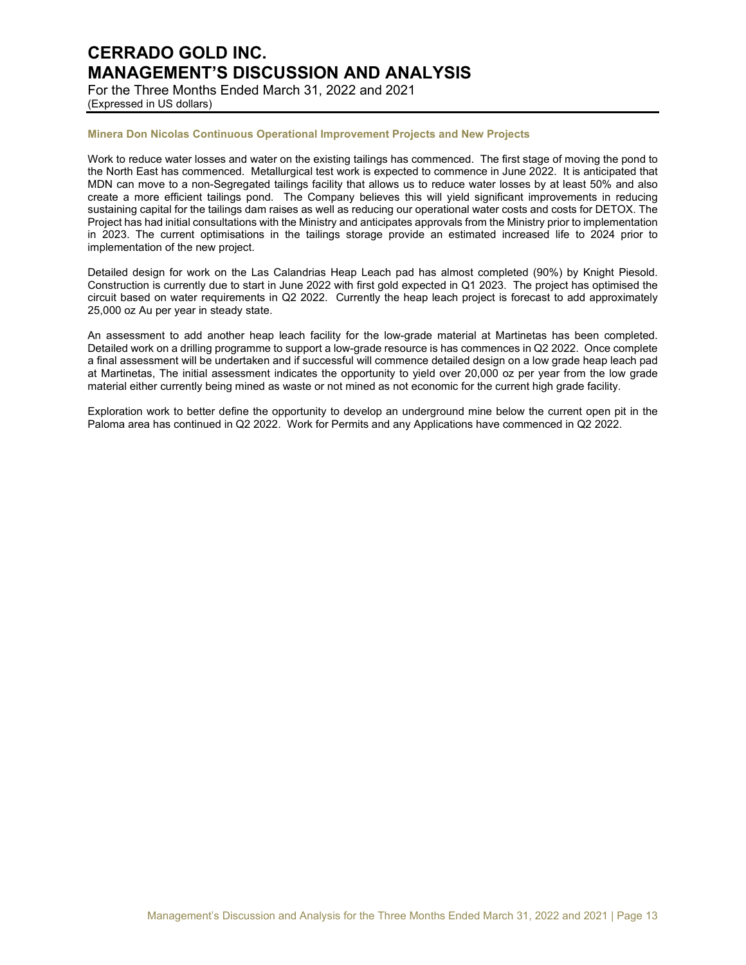For the Three Months Ended March 31, 2022 and 2021 (Expressed in US dollars)

## **Minera Don Nicolas Continuous Operational Improvement Projects and New Projects**

Work to reduce water losses and water on the existing tailings has commenced. The first stage of moving the pond to the North East has commenced. Metallurgical test work is expected to commence in June 2022. It is anticipated that MDN can move to a non-Segregated tailings facility that allows us to reduce water losses by at least 50% and also create a more efficient tailings pond. The Company believes this will yield significant improvements in reducing sustaining capital for the tailings dam raises as well as reducing our operational water costs and costs for DETOX. The Project has had initial consultations with the Ministry and anticipates approvals from the Ministry prior to implementation in 2023. The current optimisations in the tailings storage provide an estimated increased life to 2024 prior to implementation of the new project.

Detailed design for work on the Las Calandrias Heap Leach pad has almost completed (90%) by Knight Piesold. Construction is currently due to start in June 2022 with first gold expected in Q1 2023. The project has optimised the circuit based on water requirements in Q2 2022. Currently the heap leach project is forecast to add approximately 25,000 oz Au per year in steady state.

An assessment to add another heap leach facility for the low-grade material at Martinetas has been completed. Detailed work on a drilling programme to support a low-grade resource is has commences in Q2 2022. Once complete a final assessment will be undertaken and if successful will commence detailed design on a low grade heap leach pad at Martinetas, The initial assessment indicates the opportunity to yield over 20,000 oz per year from the low grade material either currently being mined as waste or not mined as not economic for the current high grade facility.

Exploration work to better define the opportunity to develop an underground mine below the current open pit in the Paloma area has continued in Q2 2022. Work for Permits and any Applications have commenced in Q2 2022.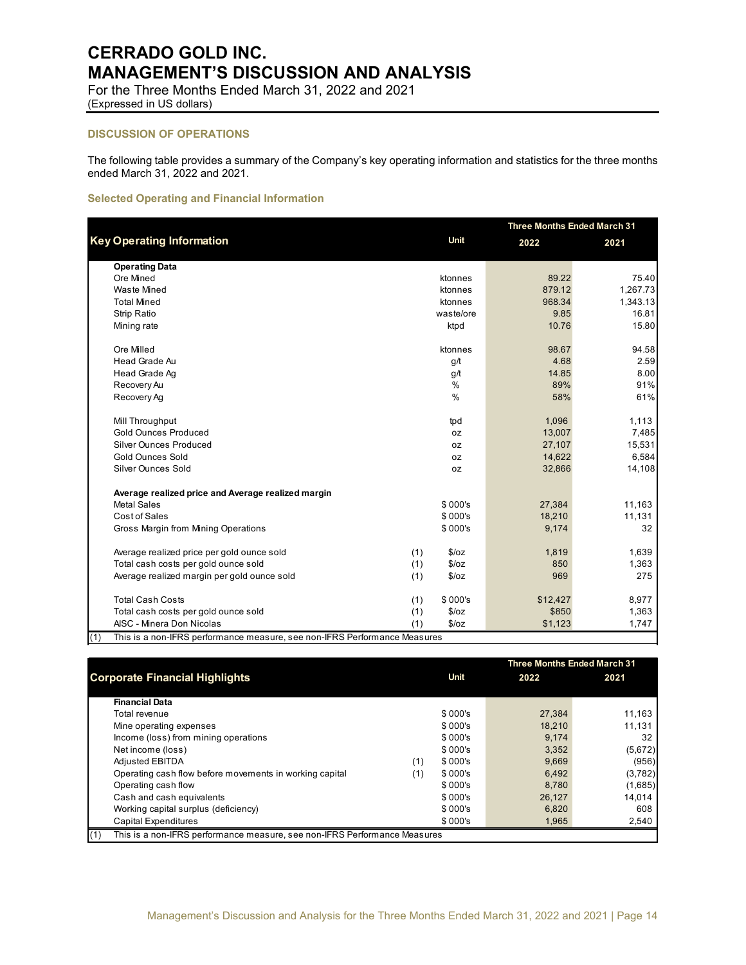For the Three Months Ended March 31, 2022 and 2021 (Expressed in US dollars)

## **DISCUSSION OF OPERATIONS**

The following table provides a summary of the Company's key operating information and statistics for the three months ended March 31, 2022 and 2021.

### **Selected Operating and Financial Information**

|                                                                                  |                | <b>Three Months Ended March 31</b> |          |  |
|----------------------------------------------------------------------------------|----------------|------------------------------------|----------|--|
| <b>Key Operating Information</b>                                                 | <b>Unit</b>    | 2022                               | 2021     |  |
| <b>Operating Data</b>                                                            |                |                                    |          |  |
| Ore Mined                                                                        | ktonnes        | 89.22                              | 75.40    |  |
| <b>Waste Mined</b>                                                               | ktonnes        | 879.12                             | 1,267.73 |  |
| <b>Total Mined</b>                                                               | ktonnes        | 968.34                             | 1,343.13 |  |
| <b>Strip Ratio</b>                                                               | waste/ore      | 9.85                               | 16.81    |  |
| Mining rate                                                                      | ktpd           | 10.76                              | 15.80    |  |
| Ore Milled                                                                       | ktonnes        | 98.67                              | 94.58    |  |
| Head Grade Au                                                                    | g/t            | 4.68                               | 2.59     |  |
| Head Grade Ag                                                                    | g/t            | 14.85                              | 8.00     |  |
| Recovery Au                                                                      | %              | 89%                                | 91%      |  |
| Recovery Ag                                                                      | %              | 58%                                | 61%      |  |
| Mill Throughput                                                                  | tpd            | 1,096                              | 1,113    |  |
| <b>Gold Ounces Produced</b>                                                      | 0Z             | 13,007                             | 7,485    |  |
| <b>Silver Ounces Produced</b>                                                    | 0Z             | 27,107                             | 15,531   |  |
| <b>Gold Ounces Sold</b>                                                          | 0Z             | 14,622                             | 6,584    |  |
| <b>Silver Ounces Sold</b>                                                        | 0Z             | 32,866                             | 14,108   |  |
| Average realized price and Average realized margin                               |                |                                    |          |  |
| <b>Metal Sales</b>                                                               | \$000's        | 27,384                             | 11,163   |  |
| Cost of Sales                                                                    | \$000's        | 18,210                             | 11,131   |  |
| Gross Margin from Mining Operations                                              | \$000's        | 9,174                              | 32       |  |
| Average realized price per gold ounce sold                                       | (1)<br>\$/oz   | 1,819                              | 1,639    |  |
| Total cash costs per gold ounce sold                                             | \$/oz<br>(1)   | 850                                | 1,363    |  |
| Average realized margin per gold ounce sold                                      | \$/oz<br>(1)   | 969                                | 275      |  |
| <b>Total Cash Costs</b>                                                          | \$000's<br>(1) | \$12,427                           | 8,977    |  |
| Total cash costs per gold ounce sold                                             | (1)<br>\$/oz   | \$850                              | 1,363    |  |
| AISC - Minera Don Nicolas                                                        | (1)<br>\$/oz   | \$1,123                            | 1,747    |  |
| (1)<br>This is a non-IFRS performance measure, see non-IFRS Performance Measures |                |                                    |          |  |

**Corporate Financial Highlights 1988** 2021 **1998** 2021 **Financial Data**  $\text{Total revenue} \quad \text{38.11,163}$ Mine operating expenses the state of the state of the state of the state of the state of the state of the state of the state of the state of the state of the state of the state of the state of the state of the state of the Income (loss) from mining operations the state of the state of the state of the state of the state of the state of the state of the state of the state of the state of the state of the state of the state of the state of the Net income (loss) 6,672 (5,672) (5,672) Adjusted EBITDA (1) \$ 000's 9,669 (956) Operating cash flow before movements in working capital (1)  $$000's$  6,492 (3,782)<br>Operating cash flow 6.685) 6.780 (1,685) Operating cash flow **8.280 (1,685)** (1,685) (1,685) (1,685) (1,685) (1,685) (1,685) (1,685) (1,685) (1,685) (1,6 Cash and cash equivalents the contract of the cash of the contract of the contract of the contract of the contract of the contract of the contract of the contract of the contract of the contract of the contract of the cont Working capital surplus (deficiency) \$ 000's 6,820 608<br>Capital Expenditures \$ 000's 1.965 2.540 **Capital Expenditures 1,965** 2,540 2,540 2,540 2,540 2,540 2,540 2,540 2,540 2,540 2,540 2,540 2,540 2,540 2,540 **Three Months Ended March 31**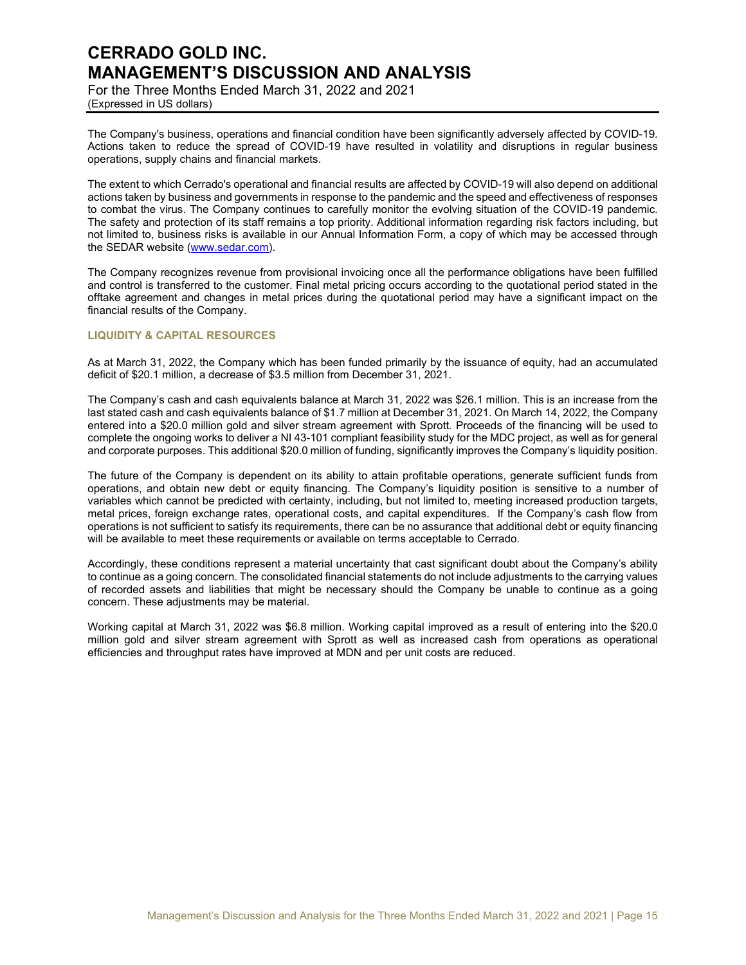For the Three Months Ended March 31, 2022 and 2021 (Expressed in US dollars)

The Company's business, operations and financial condition have been significantly adversely affected by COVID-19. Actions taken to reduce the spread of COVID-19 have resulted in volatility and disruptions in regular business operations, supply chains and financial markets.

The extent to which Cerrado's operational and financial results are affected by COVID-19 will also depend on additional actions taken by business and governments in response to the pandemic and the speed and effectiveness of responses to combat the virus. The Company continues to carefully monitor the evolving situation of the COVID-19 pandemic. The safety and protection of its staff remains a top priority. Additional information regarding risk factors including, but not limited to, business risks is available in our Annual Information Form, a copy of which may be accessed through the SEDAR website (www.sedar.com).

The Company recognizes revenue from provisional invoicing once all the performance obligations have been fulfilled and control is transferred to the customer. Final metal pricing occurs according to the quotational period stated in the offtake agreement and changes in metal prices during the quotational period may have a significant impact on the financial results of the Company.

## **LIQUIDITY & CAPITAL RESOURCES**

As at March 31, 2022, the Company which has been funded primarily by the issuance of equity, had an accumulated deficit of \$20.1 million, a decrease of \$3.5 million from December 31, 2021.

The Company's cash and cash equivalents balance at March 31, 2022 was \$26.1 million. This is an increase from the last stated cash and cash equivalents balance of \$1.7 million at December 31, 2021. On March 14, 2022, the Company entered into a \$20.0 million gold and silver stream agreement with Sprott. Proceeds of the financing will be used to complete the ongoing works to deliver a NI 43-101 compliant feasibility study for the MDC project, as well as for general and corporate purposes. This additional \$20.0 million of funding, significantly improves the Company's liquidity position.

The future of the Company is dependent on its ability to attain profitable operations, generate sufficient funds from operations, and obtain new debt or equity financing. The Company's liquidity position is sensitive to a number of variables which cannot be predicted with certainty, including, but not limited to, meeting increased production targets, metal prices, foreign exchange rates, operational costs, and capital expenditures. If the Company's cash flow from operations is not sufficient to satisfy its requirements, there can be no assurance that additional debt or equity financing will be available to meet these requirements or available on terms acceptable to Cerrado.

Accordingly, these conditions represent a material uncertainty that cast significant doubt about the Company's ability to continue as a going concern. The consolidated financial statements do not include adjustments to the carrying values of recorded assets and liabilities that might be necessary should the Company be unable to continue as a going concern. These adjustments may be material.

Working capital at March 31, 2022 was \$6.8 million. Working capital improved as a result of entering into the \$20.0 million gold and silver stream agreement with Sprott as well as increased cash from operations as operational efficiencies and throughput rates have improved at MDN and per unit costs are reduced.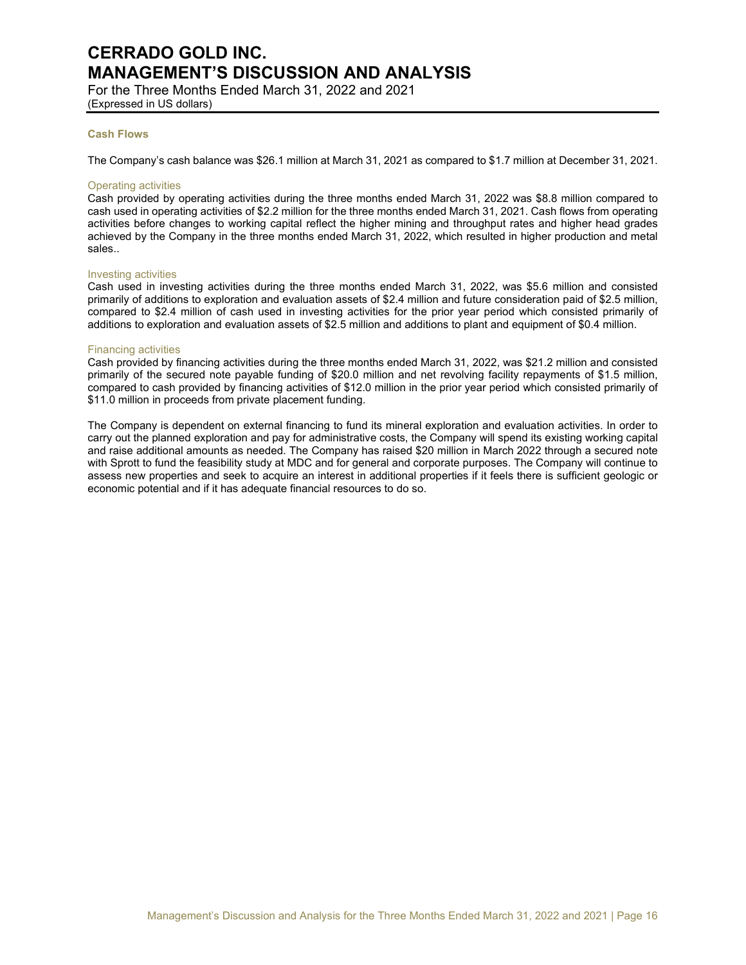For the Three Months Ended March 31, 2022 and 2021 (Expressed in US dollars)

### **Cash Flows**

The Company's cash balance was \$26.1 million at March 31, 2021 as compared to \$1.7 million at December 31, 2021.

#### Operating activities

Cash provided by operating activities during the three months ended March 31, 2022 was \$8.8 million compared to cash used in operating activities of \$2.2 million for the three months ended March 31, 2021. Cash flows from operating activities before changes to working capital reflect the higher mining and throughput rates and higher head grades achieved by the Company in the three months ended March 31, 2022, which resulted in higher production and metal sales..

#### Investing activities

Cash used in investing activities during the three months ended March 31, 2022, was \$5.6 million and consisted primarily of additions to exploration and evaluation assets of \$2.4 million and future consideration paid of \$2.5 million, compared to \$2.4 million of cash used in investing activities for the prior year period which consisted primarily of additions to exploration and evaluation assets of \$2.5 million and additions to plant and equipment of \$0.4 million.

#### Financing activities

Cash provided by financing activities during the three months ended March 31, 2022, was \$21.2 million and consisted primarily of the secured note payable funding of \$20.0 million and net revolving facility repayments of \$1.5 million, compared to cash provided by financing activities of \$12.0 million in the prior year period which consisted primarily of \$11.0 million in proceeds from private placement funding.

The Company is dependent on external financing to fund its mineral exploration and evaluation activities. In order to carry out the planned exploration and pay for administrative costs, the Company will spend its existing working capital and raise additional amounts as needed. The Company has raised \$20 million in March 2022 through a secured note with Sprott to fund the feasibility study at MDC and for general and corporate purposes. The Company will continue to assess new properties and seek to acquire an interest in additional properties if it feels there is sufficient geologic or economic potential and if it has adequate financial resources to do so.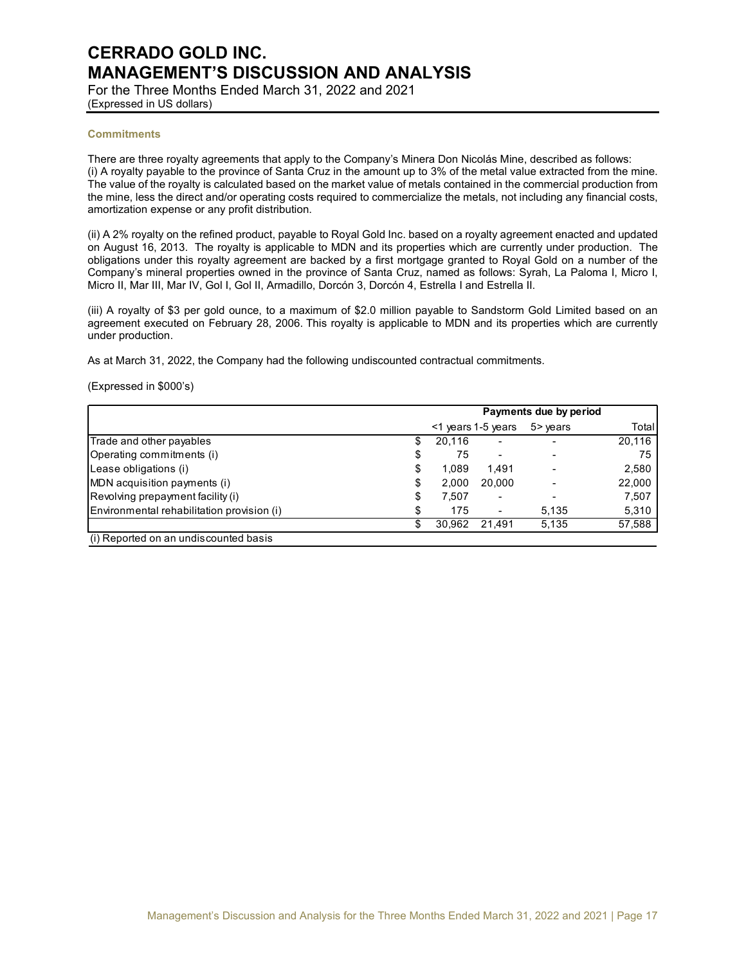For the Three Months Ended March 31, 2022 and 2021 (Expressed in US dollars)

#### **Commitments**

There are three royalty agreements that apply to the Company's Minera Don Nicolás Mine, described as follows: (i) A royalty payable to the province of Santa Cruz in the amount up to 3% of the metal value extracted from the mine. The value of the royalty is calculated based on the market value of metals contained in the commercial production from the mine, less the direct and/or operating costs required to commercialize the metals, not including any financial costs, amortization expense or any profit distribution.

(ii) A 2% royalty on the refined product, payable to Royal Gold Inc. based on a royalty agreement enacted and updated on August 16, 2013. The royalty is applicable to MDN and its properties which are currently under production. The obligations under this royalty agreement are backed by a first mortgage granted to Royal Gold on a number of the Company's mineral properties owned in the province of Santa Cruz, named as follows: Syrah, La Paloma I, Micro I, Micro II, Mar III, Mar IV, Gol I, Gol II, Armadillo, Dorcón 3, Dorcón 4, Estrella I and Estrella II.

(iii) A royalty of \$3 per gold ounce, to a maximum of \$2.0 million payable to Sandstorm Gold Limited based on an agreement executed on February 28, 2006. This royalty is applicable to MDN and its properties which are currently under production.

As at March 31, 2022, the Company had the following undiscounted contractual commitments.

### (Expressed in \$000's)

|                                            | Payments due by period |                          |           |        |
|--------------------------------------------|------------------------|--------------------------|-----------|--------|
|                                            |                        | $<$ 1 years 1-5 years    | $5$ years | Total  |
| Trade and other payables                   | 20,116                 | $\overline{\phantom{0}}$ |           | 20,116 |
| Operating commitments (i)                  | 75                     |                          |           | 75     |
| Lease obligations (i)                      | 1.089                  | 1.491                    |           | 2,580  |
| MDN acquisition payments (i)               | 2,000                  | 20.000                   |           | 22,000 |
| Revolving prepayment facility (i)          | 7,507                  | -                        |           | 7,507  |
| Environmental rehabilitation provision (i) | 175                    |                          | 5,135     | 5,310  |
|                                            | 30.962                 | 21.491                   | 5,135     | 57,588 |
| (i) Reported on an undiscounted basis      |                        |                          |           |        |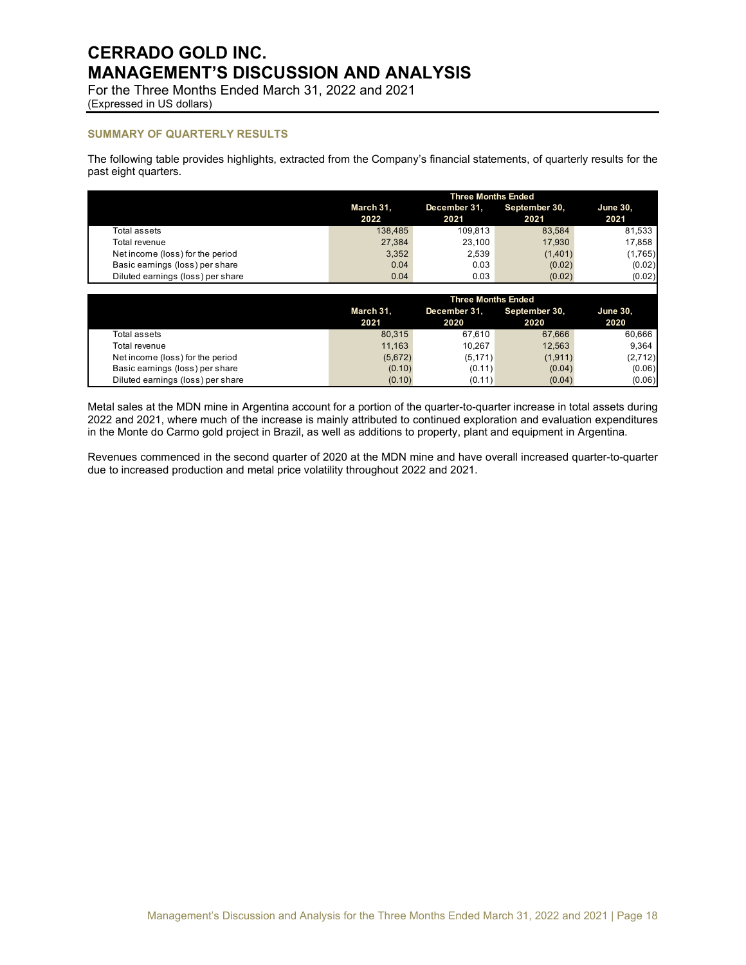For the Three Months Ended March 31, 2022 and 2021 (Expressed in US dollars)

## **SUMMARY OF QUARTERLY RESULTS**

The following table provides highlights, extracted from the Company's financial statements, of quarterly results for the past eight quarters.

|                                   | <b>Three Months Ended</b> |                               |         |         |  |  |
|-----------------------------------|---------------------------|-------------------------------|---------|---------|--|--|
|                                   | March 31,                 | September 30,<br>December 31, |         |         |  |  |
|                                   | 2022                      | 2021                          | 2021    | 2021    |  |  |
| Total assets                      | 138.485                   | 109.813                       | 83.584  | 81,533  |  |  |
| Total revenue                     | 27,384                    | 23.100                        | 17.930  | 17.858  |  |  |
| Net income (loss) for the period  | 3.352                     | 2.539                         | (1,401) | (1,765) |  |  |
| Basic earnings (loss) per share   | 0.04                      | 0.03                          | (0.02)  | (0.02)  |  |  |
| Diluted earnings (loss) per share | 0.04                      | 0.03                          | (0.02)  | (0.02)  |  |  |

|                                   |                   | <b>Three Months Ended</b> |                       |                         |  |  |  |
|-----------------------------------|-------------------|---------------------------|-----------------------|-------------------------|--|--|--|
|                                   | March 31,<br>2021 | December 31.<br>2020      | September 30,<br>2020 | <b>June 30.</b><br>2020 |  |  |  |
| Total assets                      | 80.315            | 67.610                    | 67.666                | 60.666                  |  |  |  |
| Total revenue                     | 11.163            | 10.267                    | 12.563                | 9.364                   |  |  |  |
| Net income (loss) for the period  | (5,672)           | (5, 171)                  | (1,911)               | (2,712)                 |  |  |  |
| Basic earnings (loss) per share   | (0.10)            | (0.11)                    | (0.04)                | (0.06)                  |  |  |  |
| Diluted earnings (loss) per share | (0.10)            | (0.11)                    | (0.04)                | (0.06)                  |  |  |  |

Metal sales at the MDN mine in Argentina account for a portion of the quarter-to-quarter increase in total assets during 2022 and 2021, where much of the increase is mainly attributed to continued exploration and evaluation expenditures in the Monte do Carmo gold project in Brazil, as well as additions to property, plant and equipment in Argentina.

Revenues commenced in the second quarter of 2020 at the MDN mine and have overall increased quarter-to-quarter due to increased production and metal price volatility throughout 2022 and 2021.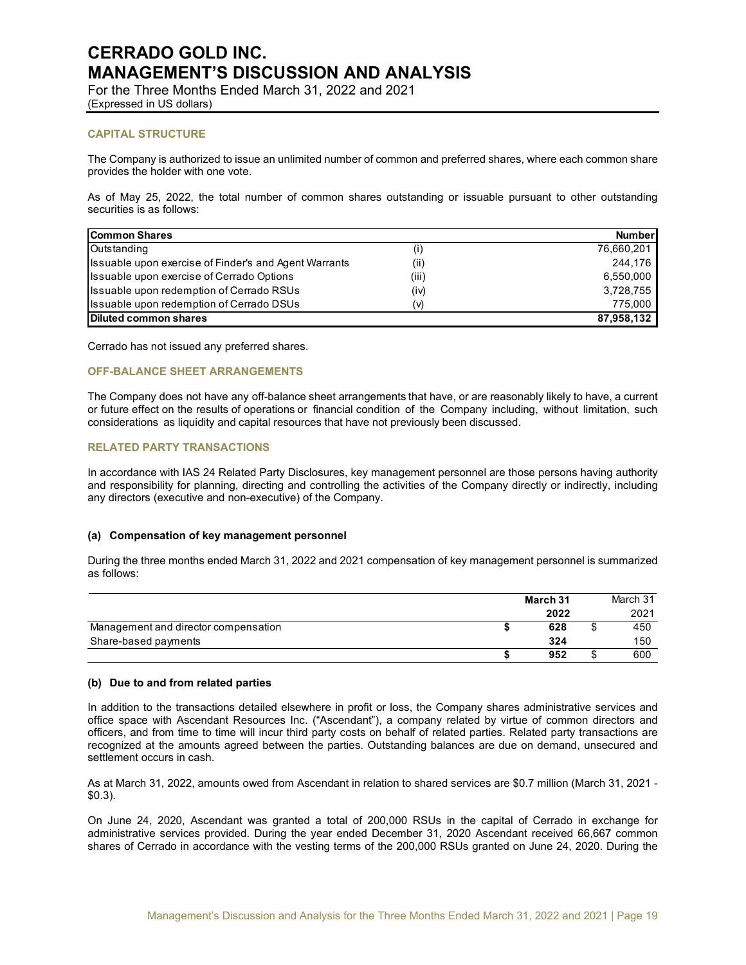For the Three Months Ended March 31, 2022 and 2021 (Expressed in US dollars)

## **CAPITAL STRUCTURE**

The Company is authorized to issue an unlimited number of common and preferred shares, where each common share provides the holder with one vote.

As of May 25, 2022, the total number of common shares outstanding or issuable pursuant to other outstanding securities is as follows:

| <b>Common Shares</b>                                  |       | <b>Number</b> |
|-------------------------------------------------------|-------|---------------|
| Outstanding                                           | (i)   | 76,660,201    |
| Issuable upon exercise of Finder's and Agent Warrants | (ii)  | 244.176       |
| Issuable upon exercise of Cerrado Options             | (iii) | 6,550,000     |
| Issuable upon redemption of Cerrado RSUs              | (iv)  | 3,728,755     |
| Issuable upon redemption of Cerrado DSUs              | (v)   | 775.000       |
| Diluted common shares                                 |       | 87,958,132    |

Cerrado has not issued any preferred shares.

## **OFF-BALANCE SHEET ARRANGEMENTS**

The Company does not have any off-balance sheet arrangements that have, or are reasonably likely to have, a current or future effect on the results of operations or financial condition of the Company including, without limitation, such considerations as liquidity and capital resources that have not previously been discussed.

### **RELATED PARTY TRANSACTIONS**

In accordance with IAS 24 Related Party Disclosures, key management personnel are those persons having authority and responsibility for planning, directing and controlling the activities of the Company directly or indirectly, including any directors (executive and non-executive) of the Company.

### **(a) Compensation of key management personnel**

During the three months ended March 31, 2022 and 2021 compensation of key management personnel is summarized as follows:

|                                      | March 31 |        | March 31 |
|--------------------------------------|----------|--------|----------|
|                                      | 2022     |        | 2021     |
| Management and director compensation | 628      | œ<br>ъ | 450      |
| Share-based payments                 | 324      |        | 150      |
|                                      | 952      | \$     | 600      |

## **(b) Due to and from related parties**

In addition to the transactions detailed elsewhere in profit or loss, the Company shares administrative services and office space with Ascendant Resources Inc. ("Ascendant"), a company related by virtue of common directors and officers, and from time to time will incur third party costs on behalf of related parties. Related party transactions are recognized at the amounts agreed between the parties. Outstanding balances are due on demand, unsecured and settlement occurs in cash.

As at March 31, 2022, amounts owed from Ascendant in relation to shared services are \$0.7 million (March 31, 2021 - \$0.3).

On June 24, 2020, Ascendant was granted a total of 200,000 RSUs in the capital of Cerrado in exchange for administrative services provided. During the year ended December 31, 2020 Ascendant received 66,667 common shares of Cerrado in accordance with the vesting terms of the 200,000 RSUs granted on June 24, 2020. During the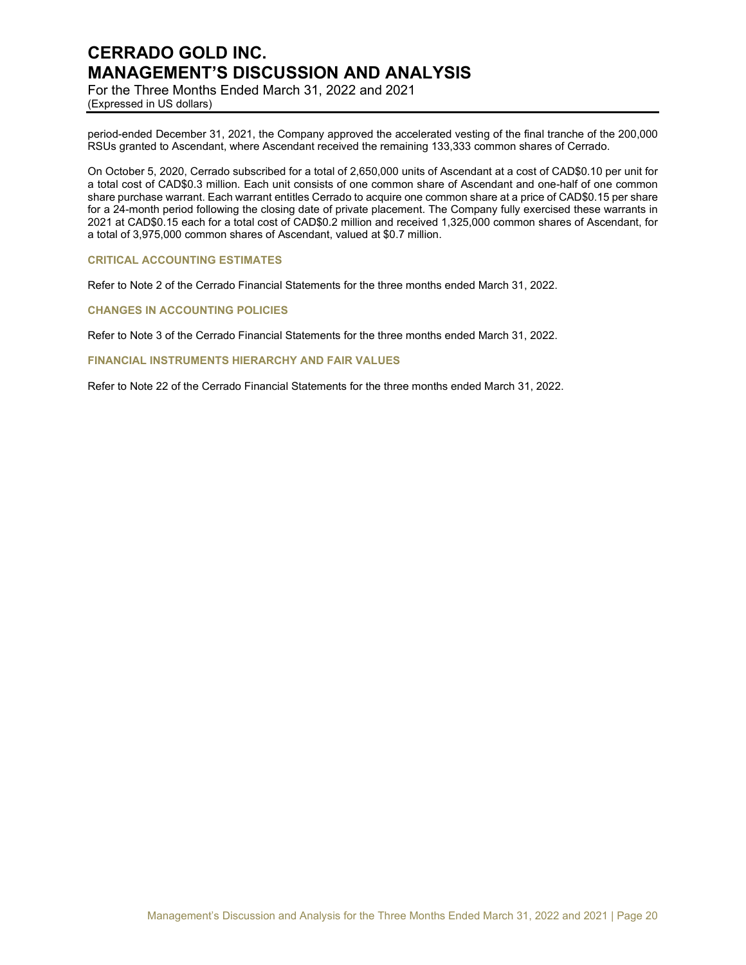For the Three Months Ended March 31, 2022 and 2021 (Expressed in US dollars)

period-ended December 31, 2021, the Company approved the accelerated vesting of the final tranche of the 200,000 RSUs granted to Ascendant, where Ascendant received the remaining 133,333 common shares of Cerrado.

On October 5, 2020, Cerrado subscribed for a total of 2,650,000 units of Ascendant at a cost of CAD\$0.10 per unit for a total cost of CAD\$0.3 million. Each unit consists of one common share of Ascendant and one-half of one common share purchase warrant. Each warrant entitles Cerrado to acquire one common share at a price of CAD\$0.15 per share for a 24-month period following the closing date of private placement. The Company fully exercised these warrants in 2021 at CAD\$0.15 each for a total cost of CAD\$0.2 million and received 1,325,000 common shares of Ascendant, for a total of 3,975,000 common shares of Ascendant, valued at \$0.7 million.

### **CRITICAL ACCOUNTING ESTIMATES**

Refer to Note 2 of the Cerrado Financial Statements for the three months ended March 31, 2022.

## **CHANGES IN ACCOUNTING POLICIES**

Refer to Note 3 of the Cerrado Financial Statements for the three months ended March 31, 2022.

**FINANCIAL INSTRUMENTS HIERARCHY AND FAIR VALUES** 

Refer to Note 22 of the Cerrado Financial Statements for the three months ended March 31, 2022.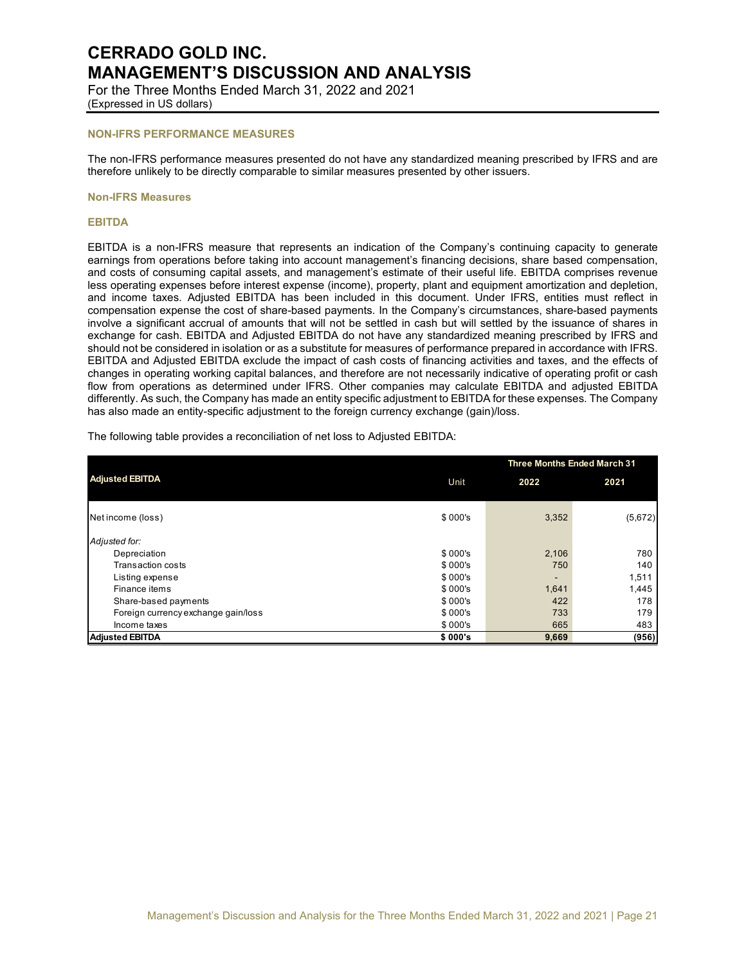For the Three Months Ended March 31, 2022 and 2021 (Expressed in US dollars)

### **NON-IFRS PERFORMANCE MEASURES**

The non-IFRS performance measures presented do not have any standardized meaning prescribed by IFRS and are therefore unlikely to be directly comparable to similar measures presented by other issuers.

#### **Non-IFRS Measures**

### **EBITDA**

EBITDA is a non-IFRS measure that represents an indication of the Company's continuing capacity to generate earnings from operations before taking into account management's financing decisions, share based compensation, and costs of consuming capital assets, and management's estimate of their useful life. EBITDA comprises revenue less operating expenses before interest expense (income), property, plant and equipment amortization and depletion, and income taxes. Adjusted EBITDA has been included in this document. Under IFRS, entities must reflect in compensation expense the cost of share-based payments. In the Company's circumstances, share-based payments involve a significant accrual of amounts that will not be settled in cash but will settled by the issuance of shares in exchange for cash. EBITDA and Adjusted EBITDA do not have any standardized meaning prescribed by IFRS and should not be considered in isolation or as a substitute for measures of performance prepared in accordance with IFRS. EBITDA and Adjusted EBITDA exclude the impact of cash costs of financing activities and taxes, and the effects of changes in operating working capital balances, and therefore are not necessarily indicative of operating profit or cash flow from operations as determined under IFRS. Other companies may calculate EBITDA and adjusted EBITDA differently. As such, the Company has made an entity specific adjustment to EBITDA for these expenses. The Company has also made an entity-specific adjustment to the foreign currency exchange (gain)/loss.

The following table provides a reconciliation of net loss to Adjusted EBITDA:

|                                     | <b>Three Months Ended March 31</b> |       |         |  |
|-------------------------------------|------------------------------------|-------|---------|--|
| <b>Adjusted EBITDA</b>              | Unit                               | 2022  | 2021    |  |
| Net income (loss)                   | \$000's                            | 3,352 | (5,672) |  |
| Adjusted for:                       |                                    |       |         |  |
| Depreciation                        | \$000's                            | 2,106 | 780     |  |
| Transaction costs                   | \$000's                            | 750   | 140     |  |
| Listing expense                     | \$000's                            |       | 1,511   |  |
| Finance items                       | \$000's                            | 1,641 | 1,445   |  |
| Share-based payments                | \$000's                            | 422   | 178     |  |
| Foreign currency exchange gain/loss | \$000's                            | 733   | 179     |  |
| Income taxes                        | \$000's                            | 665   | 483     |  |
| <b>Adjusted EBITDA</b>              | \$000's                            | 9,669 | (956)   |  |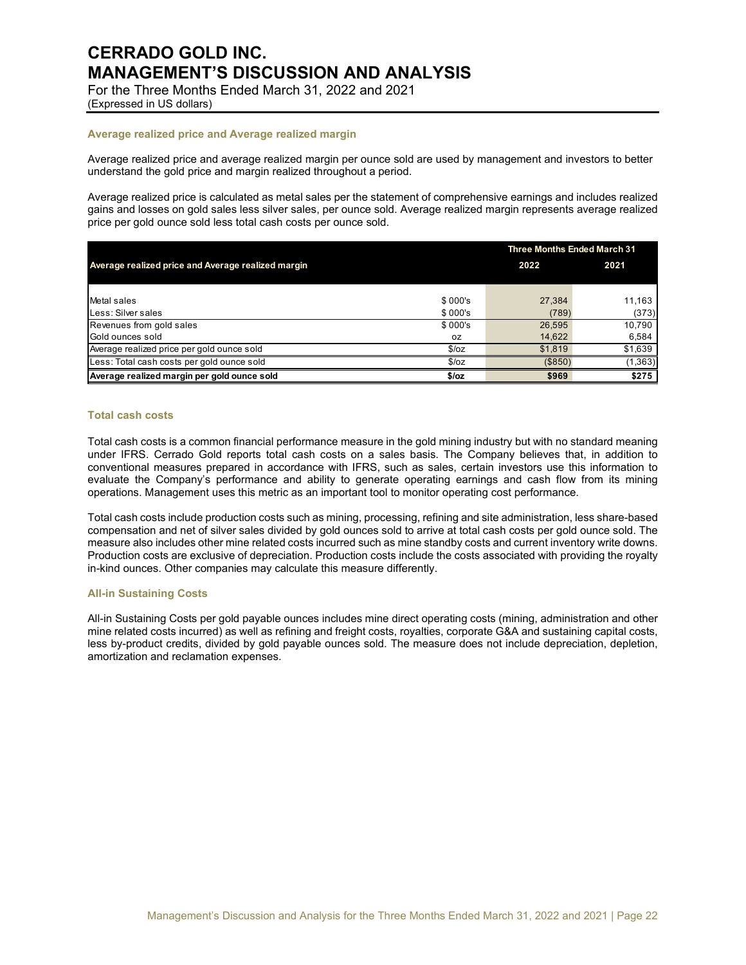For the Three Months Ended March 31, 2022 and 2021 (Expressed in US dollars)

## **Average realized price and Average realized margin**

Average realized price and average realized margin per ounce sold are used by management and investors to better understand the gold price and margin realized throughout a period.

Average realized price is calculated as metal sales per the statement of comprehensive earnings and includes realized gains and losses on gold sales less silver sales, per ounce sold. Average realized margin represents average realized price per gold ounce sold less total cash costs per ounce sold.

|                                                    | <b>Three Months Ended March 31</b> |         |          |  |
|----------------------------------------------------|------------------------------------|---------|----------|--|
| Average realized price and Average realized margin |                                    | 2022    | 2021     |  |
|                                                    |                                    |         |          |  |
| Metal sales                                        | \$000's                            | 27,384  | 11,163   |  |
| Less: Silver sales                                 | \$000's                            | (789)   | (373)    |  |
| Revenues from gold sales                           | \$000's                            | 26,595  | 10.790   |  |
| Gold ounces sold                                   | 0Z                                 | 14,622  | 6,584    |  |
| Average realized price per gold ounce sold         | \$/oz                              | \$1,819 | \$1,639  |  |
| Less: Total cash costs per gold ounce sold         | \$/oz                              | (S850)  | (1, 363) |  |
| Average realized margin per gold ounce sold        | $$$ /oz                            | \$969   | \$275    |  |

### **Total cash costs**

Total cash costs is a common financial performance measure in the gold mining industry but with no standard meaning under IFRS. Cerrado Gold reports total cash costs on a sales basis. The Company believes that, in addition to conventional measures prepared in accordance with IFRS, such as sales, certain investors use this information to evaluate the Company's performance and ability to generate operating earnings and cash flow from its mining operations. Management uses this metric as an important tool to monitor operating cost performance.

Total cash costs include production costs such as mining, processing, refining and site administration, less share-based compensation and net of silver sales divided by gold ounces sold to arrive at total cash costs per gold ounce sold. The measure also includes other mine related costs incurred such as mine standby costs and current inventory write downs. Production costs are exclusive of depreciation. Production costs include the costs associated with providing the royalty in-kind ounces. Other companies may calculate this measure differently.

#### **All-in Sustaining Costs**

All-in Sustaining Costs per gold payable ounces includes mine direct operating costs (mining, administration and other mine related costs incurred) as well as refining and freight costs, royalties, corporate G&A and sustaining capital costs, less by-product credits, divided by gold payable ounces sold. The measure does not include depreciation, depletion, amortization and reclamation expenses.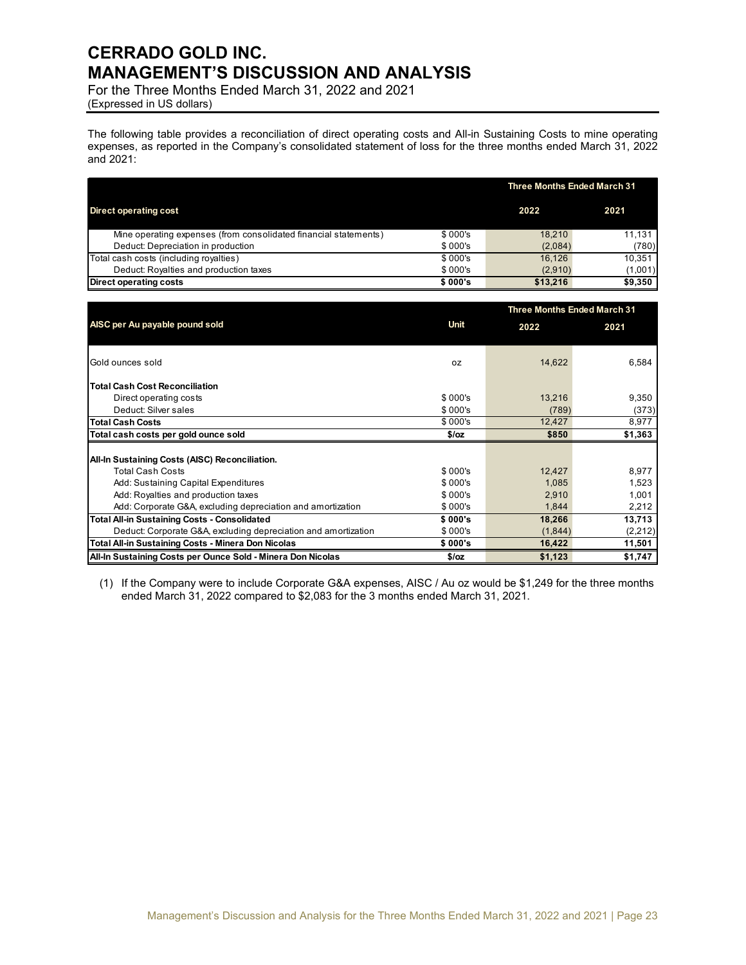For the Three Months Ended March 31, 2022 and 2021 (Expressed in US dollars)

The following table provides a reconciliation of direct operating costs and All-in Sustaining Costs to mine operating expenses, as reported in the Company's consolidated statement of loss for the three months ended March 31, 2022 and 2021:

|                                                                  | <b>Three Months Ended March 31</b> |          |         |  |  |
|------------------------------------------------------------------|------------------------------------|----------|---------|--|--|
| <b>Direct operating cost</b>                                     |                                    | 2022     | 2021    |  |  |
| Mine operating expenses (from consolidated financial statements) | \$000's                            | 18.210   | 11.131  |  |  |
| Deduct: Depreciation in production                               | \$000's                            | (2,084)  | (780)   |  |  |
| Total cash costs (including royalties)                           | \$000's                            | 16.126   | 10.351  |  |  |
| Deduct: Royalties and production taxes                           | \$000's                            | (2,910)  | (1,001) |  |  |
| Direct operating costs                                           | \$000's                            | \$13.216 | \$9,350 |  |  |

|                                                                |         |         | <b>Three Months Ended March 31</b> |  |
|----------------------------------------------------------------|---------|---------|------------------------------------|--|
| AISC per Au payable pound sold                                 | Unit    | 2022    | 2021                               |  |
|                                                                |         |         |                                    |  |
| Gold ounces sold                                               | 0Z      | 14,622  | 6,584                              |  |
| <b>Total Cash Cost Reconciliation</b>                          |         |         |                                    |  |
| Direct operating costs                                         | \$000's | 13,216  | 9,350                              |  |
| Deduct: Silver sales                                           | \$000's | (789)   | (373)                              |  |
| <b>Total Cash Costs</b>                                        | \$000's | 12,427  | 8,977                              |  |
| Total cash costs per gold ounce sold                           | \$/oz   | \$850   | \$1,363                            |  |
|                                                                |         |         |                                    |  |
| All-In Sustaining Costs (AISC) Reconciliation.                 |         |         |                                    |  |
| <b>Total Cash Costs</b>                                        | \$000's | 12,427  | 8,977                              |  |
| Add: Sustaining Capital Expenditures                           | \$000's | 1,085   | 1,523                              |  |
| Add: Royalties and production taxes                            | \$000's | 2,910   | 1,001                              |  |
| Add: Corporate G&A, excluding depreciation and amortization    | \$000's | 1,844   | 2,212                              |  |
| <b>Total All-in Sustaining Costs - Consolidated</b>            | \$000's | 18,266  | 13,713                             |  |
| Deduct: Corporate G&A, excluding depreciation and amortization | \$000's | (1,844) | (2,212)                            |  |
| Total All-in Sustaining Costs - Minera Don Nicolas             | \$000's | 16,422  | 11,501                             |  |
| All-In Sustaining Costs per Ounce Sold - Minera Don Nicolas    | $$$ /oz | \$1,123 | \$1,747                            |  |

(1) If the Company were to include Corporate G&A expenses, AISC / Au oz would be \$1,249 for the three months ended March 31, 2022 compared to \$2,083 for the 3 months ended March 31, 2021.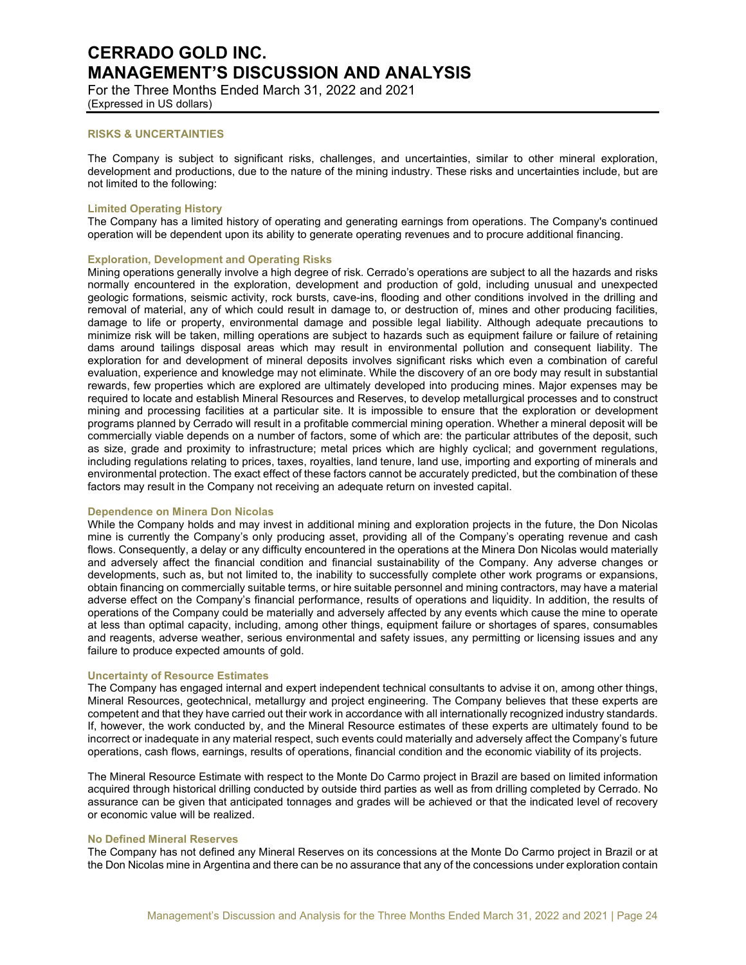For the Three Months Ended March 31, 2022 and 2021 (Expressed in US dollars)

### **RISKS & UNCERTAINTIES**

The Company is subject to significant risks, challenges, and uncertainties, similar to other mineral exploration, development and productions, due to the nature of the mining industry. These risks and uncertainties include, but are not limited to the following:

#### **Limited Operating History**

The Company has a limited history of operating and generating earnings from operations. The Company's continued operation will be dependent upon its ability to generate operating revenues and to procure additional financing.

#### **Exploration, Development and Operating Risks**

Mining operations generally involve a high degree of risk. Cerrado's operations are subject to all the hazards and risks normally encountered in the exploration, development and production of gold, including unusual and unexpected geologic formations, seismic activity, rock bursts, cave-ins, flooding and other conditions involved in the drilling and removal of material, any of which could result in damage to, or destruction of, mines and other producing facilities, damage to life or property, environmental damage and possible legal liability. Although adequate precautions to minimize risk will be taken, milling operations are subject to hazards such as equipment failure or failure of retaining dams around tailings disposal areas which may result in environmental pollution and consequent liability. The exploration for and development of mineral deposits involves significant risks which even a combination of careful evaluation, experience and knowledge may not eliminate. While the discovery of an ore body may result in substantial rewards, few properties which are explored are ultimately developed into producing mines. Major expenses may be required to locate and establish Mineral Resources and Reserves, to develop metallurgical processes and to construct mining and processing facilities at a particular site. It is impossible to ensure that the exploration or development programs planned by Cerrado will result in a profitable commercial mining operation. Whether a mineral deposit will be commercially viable depends on a number of factors, some of which are: the particular attributes of the deposit, such as size, grade and proximity to infrastructure; metal prices which are highly cyclical; and government regulations, including regulations relating to prices, taxes, royalties, land tenure, land use, importing and exporting of minerals and environmental protection. The exact effect of these factors cannot be accurately predicted, but the combination of these factors may result in the Company not receiving an adequate return on invested capital.

#### **Dependence on Minera Don Nicolas**

While the Company holds and may invest in additional mining and exploration projects in the future, the Don Nicolas mine is currently the Company's only producing asset, providing all of the Company's operating revenue and cash flows. Consequently, a delay or any difficulty encountered in the operations at the Minera Don Nicolas would materially and adversely affect the financial condition and financial sustainability of the Company. Any adverse changes or developments, such as, but not limited to, the inability to successfully complete other work programs or expansions, obtain financing on commercially suitable terms, or hire suitable personnel and mining contractors, may have a material adverse effect on the Company's financial performance, results of operations and liquidity. In addition, the results of operations of the Company could be materially and adversely affected by any events which cause the mine to operate at less than optimal capacity, including, among other things, equipment failure or shortages of spares, consumables and reagents, adverse weather, serious environmental and safety issues, any permitting or licensing issues and any failure to produce expected amounts of gold.

### **Uncertainty of Resource Estimates**

The Company has engaged internal and expert independent technical consultants to advise it on, among other things, Mineral Resources, geotechnical, metallurgy and project engineering. The Company believes that these experts are competent and that they have carried out their work in accordance with all internationally recognized industry standards. If, however, the work conducted by, and the Mineral Resource estimates of these experts are ultimately found to be incorrect or inadequate in any material respect, such events could materially and adversely affect the Company's future operations, cash flows, earnings, results of operations, financial condition and the economic viability of its projects.

The Mineral Resource Estimate with respect to the Monte Do Carmo project in Brazil are based on limited information acquired through historical drilling conducted by outside third parties as well as from drilling completed by Cerrado. No assurance can be given that anticipated tonnages and grades will be achieved or that the indicated level of recovery or economic value will be realized.

#### **No Defined Mineral Reserves**

The Company has not defined any Mineral Reserves on its concessions at the Monte Do Carmo project in Brazil or at the Don Nicolas mine in Argentina and there can be no assurance that any of the concessions under exploration contain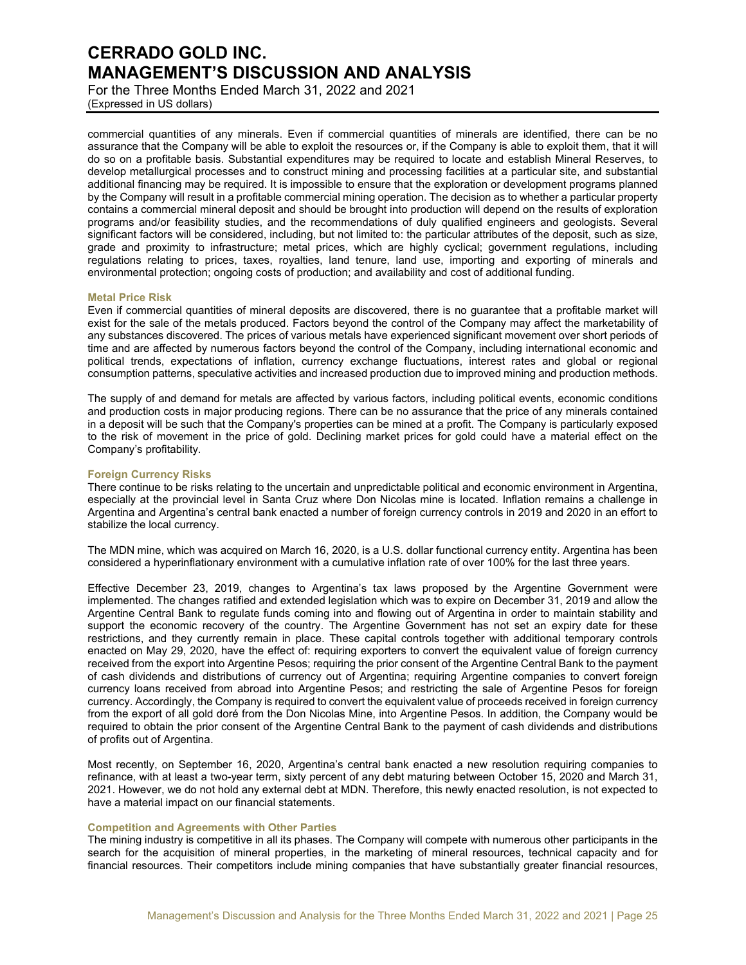For the Three Months Ended March 31, 2022 and 2021 (Expressed in US dollars)

commercial quantities of any minerals. Even if commercial quantities of minerals are identified, there can be no assurance that the Company will be able to exploit the resources or, if the Company is able to exploit them, that it will do so on a profitable basis. Substantial expenditures may be required to locate and establish Mineral Reserves, to develop metallurgical processes and to construct mining and processing facilities at a particular site, and substantial additional financing may be required. It is impossible to ensure that the exploration or development programs planned by the Company will result in a profitable commercial mining operation. The decision as to whether a particular property contains a commercial mineral deposit and should be brought into production will depend on the results of exploration programs and/or feasibility studies, and the recommendations of duly qualified engineers and geologists. Several significant factors will be considered, including, but not limited to: the particular attributes of the deposit, such as size, grade and proximity to infrastructure; metal prices, which are highly cyclical; government regulations, including regulations relating to prices, taxes, royalties, land tenure, land use, importing and exporting of minerals and environmental protection; ongoing costs of production; and availability and cost of additional funding.

### **Metal Price Risk**

Even if commercial quantities of mineral deposits are discovered, there is no guarantee that a profitable market will exist for the sale of the metals produced. Factors beyond the control of the Company may affect the marketability of any substances discovered. The prices of various metals have experienced significant movement over short periods of time and are affected by numerous factors beyond the control of the Company, including international economic and political trends, expectations of inflation, currency exchange fluctuations, interest rates and global or regional consumption patterns, speculative activities and increased production due to improved mining and production methods.

The supply of and demand for metals are affected by various factors, including political events, economic conditions and production costs in major producing regions. There can be no assurance that the price of any minerals contained in a deposit will be such that the Company's properties can be mined at a profit. The Company is particularly exposed to the risk of movement in the price of gold. Declining market prices for gold could have a material effect on the Company's profitability.

### **Foreign Currency Risks**

There continue to be risks relating to the uncertain and unpredictable political and economic environment in Argentina, especially at the provincial level in Santa Cruz where Don Nicolas mine is located. Inflation remains a challenge in Argentina and Argentina's central bank enacted a number of foreign currency controls in 2019 and 2020 in an effort to stabilize the local currency.

The MDN mine, which was acquired on March 16, 2020, is a U.S. dollar functional currency entity. Argentina has been considered a hyperinflationary environment with a cumulative inflation rate of over 100% for the last three years.

Effective December 23, 2019, changes to Argentina's tax laws proposed by the Argentine Government were implemented. The changes ratified and extended legislation which was to expire on December 31, 2019 and allow the Argentine Central Bank to regulate funds coming into and flowing out of Argentina in order to maintain stability and support the economic recovery of the country. The Argentine Government has not set an expiry date for these restrictions, and they currently remain in place. These capital controls together with additional temporary controls enacted on May 29, 2020, have the effect of: requiring exporters to convert the equivalent value of foreign currency received from the export into Argentine Pesos; requiring the prior consent of the Argentine Central Bank to the payment of cash dividends and distributions of currency out of Argentina; requiring Argentine companies to convert foreign currency loans received from abroad into Argentine Pesos; and restricting the sale of Argentine Pesos for foreign currency. Accordingly, the Company is required to convert the equivalent value of proceeds received in foreign currency from the export of all gold doré from the Don Nicolas Mine, into Argentine Pesos. In addition, the Company would be required to obtain the prior consent of the Argentine Central Bank to the payment of cash dividends and distributions of profits out of Argentina.

Most recently, on September 16, 2020, Argentina's central bank enacted a new resolution requiring companies to refinance, with at least a two-year term, sixty percent of any debt maturing between October 15, 2020 and March 31, 2021. However, we do not hold any external debt at MDN. Therefore, this newly enacted resolution, is not expected to have a material impact on our financial statements.

#### **Competition and Agreements with Other Parties**

The mining industry is competitive in all its phases. The Company will compete with numerous other participants in the search for the acquisition of mineral properties, in the marketing of mineral resources, technical capacity and for financial resources. Their competitors include mining companies that have substantially greater financial resources,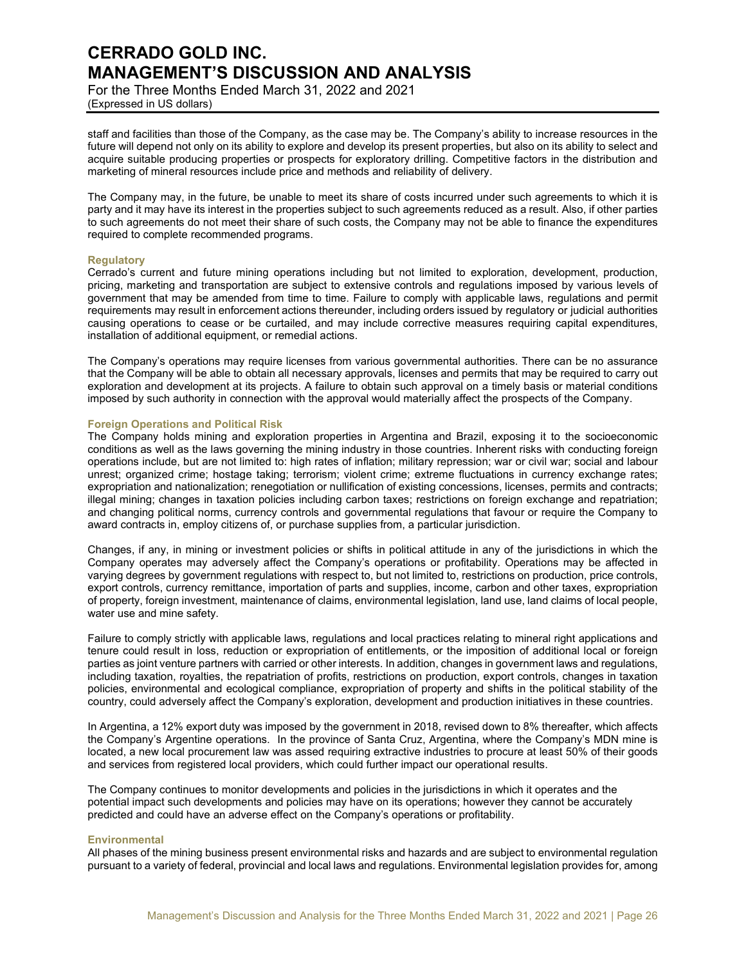For the Three Months Ended March 31, 2022 and 2021 (Expressed in US dollars)

staff and facilities than those of the Company, as the case may be. The Company's ability to increase resources in the future will depend not only on its ability to explore and develop its present properties, but also on its ability to select and acquire suitable producing properties or prospects for exploratory drilling. Competitive factors in the distribution and marketing of mineral resources include price and methods and reliability of delivery.

The Company may, in the future, be unable to meet its share of costs incurred under such agreements to which it is party and it may have its interest in the properties subject to such agreements reduced as a result. Also, if other parties to such agreements do not meet their share of such costs, the Company may not be able to finance the expenditures required to complete recommended programs.

### **Regulatory**

Cerrado's current and future mining operations including but not limited to exploration, development, production, pricing, marketing and transportation are subject to extensive controls and regulations imposed by various levels of government that may be amended from time to time. Failure to comply with applicable laws, regulations and permit requirements may result in enforcement actions thereunder, including orders issued by regulatory or judicial authorities causing operations to cease or be curtailed, and may include corrective measures requiring capital expenditures, installation of additional equipment, or remedial actions.

The Company's operations may require licenses from various governmental authorities. There can be no assurance that the Company will be able to obtain all necessary approvals, licenses and permits that may be required to carry out exploration and development at its projects. A failure to obtain such approval on a timely basis or material conditions imposed by such authority in connection with the approval would materially affect the prospects of the Company.

### **Foreign Operations and Political Risk**

The Company holds mining and exploration properties in Argentina and Brazil, exposing it to the socioeconomic conditions as well as the laws governing the mining industry in those countries. Inherent risks with conducting foreign operations include, but are not limited to: high rates of inflation; military repression; war or civil war; social and labour unrest; organized crime; hostage taking; terrorism; violent crime; extreme fluctuations in currency exchange rates; expropriation and nationalization; renegotiation or nullification of existing concessions, licenses, permits and contracts; illegal mining; changes in taxation policies including carbon taxes; restrictions on foreign exchange and repatriation; and changing political norms, currency controls and governmental regulations that favour or require the Company to award contracts in, employ citizens of, or purchase supplies from, a particular jurisdiction.

Changes, if any, in mining or investment policies or shifts in political attitude in any of the jurisdictions in which the Company operates may adversely affect the Company's operations or profitability. Operations may be affected in varying degrees by government regulations with respect to, but not limited to, restrictions on production, price controls, export controls, currency remittance, importation of parts and supplies, income, carbon and other taxes, expropriation of property, foreign investment, maintenance of claims, environmental legislation, land use, land claims of local people, water use and mine safety.

Failure to comply strictly with applicable laws, regulations and local practices relating to mineral right applications and tenure could result in loss, reduction or expropriation of entitlements, or the imposition of additional local or foreign parties as joint venture partners with carried or other interests. In addition, changes in government laws and regulations, including taxation, royalties, the repatriation of profits, restrictions on production, export controls, changes in taxation policies, environmental and ecological compliance, expropriation of property and shifts in the political stability of the country, could adversely affect the Company's exploration, development and production initiatives in these countries.

In Argentina, a 12% export duty was imposed by the government in 2018, revised down to 8% thereafter, which affects the Company's Argentine operations. In the province of Santa Cruz, Argentina, where the Company's MDN mine is located, a new local procurement law was assed requiring extractive industries to procure at least 50% of their goods and services from registered local providers, which could further impact our operational results.

The Company continues to monitor developments and policies in the jurisdictions in which it operates and the potential impact such developments and policies may have on its operations; however they cannot be accurately predicted and could have an adverse effect on the Company's operations or profitability.

#### **Environmental**

All phases of the mining business present environmental risks and hazards and are subject to environmental regulation pursuant to a variety of federal, provincial and local laws and regulations. Environmental legislation provides for, among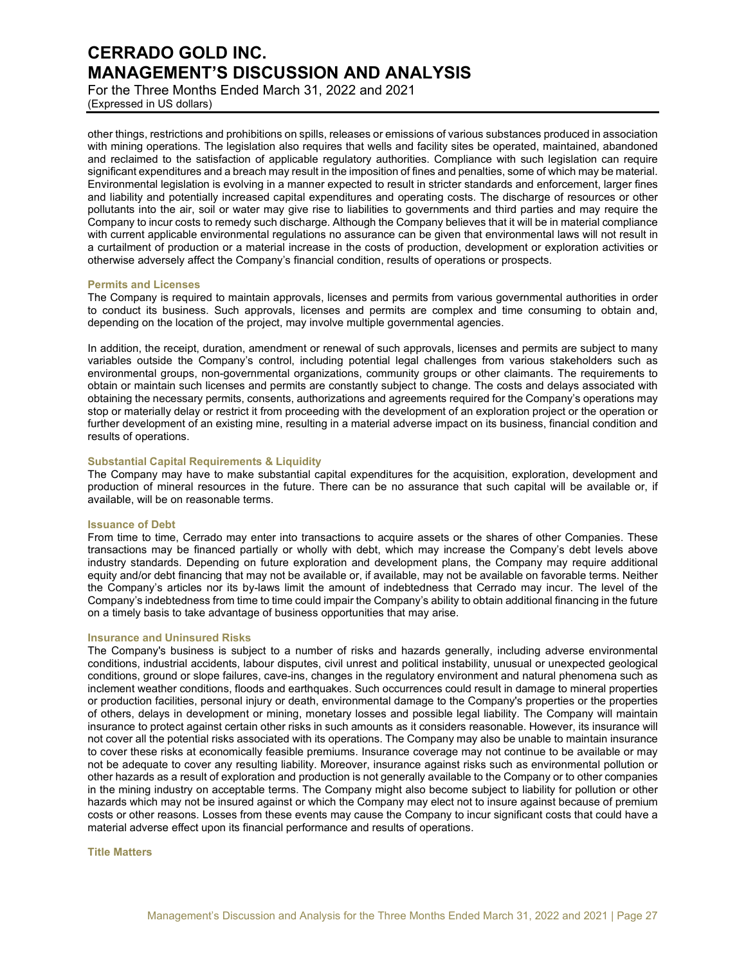For the Three Months Ended March 31, 2022 and 2021 (Expressed in US dollars)

other things, restrictions and prohibitions on spills, releases or emissions of various substances produced in association with mining operations. The legislation also requires that wells and facility sites be operated, maintained, abandoned and reclaimed to the satisfaction of applicable regulatory authorities. Compliance with such legislation can require significant expenditures and a breach may result in the imposition of fines and penalties, some of which may be material. Environmental legislation is evolving in a manner expected to result in stricter standards and enforcement, larger fines and liability and potentially increased capital expenditures and operating costs. The discharge of resources or other pollutants into the air, soil or water may give rise to liabilities to governments and third parties and may require the Company to incur costs to remedy such discharge. Although the Company believes that it will be in material compliance with current applicable environmental regulations no assurance can be given that environmental laws will not result in a curtailment of production or a material increase in the costs of production, development or exploration activities or otherwise adversely affect the Company's financial condition, results of operations or prospects.

### **Permits and Licenses**

The Company is required to maintain approvals, licenses and permits from various governmental authorities in order to conduct its business. Such approvals, licenses and permits are complex and time consuming to obtain and, depending on the location of the project, may involve multiple governmental agencies.

In addition, the receipt, duration, amendment or renewal of such approvals, licenses and permits are subject to many variables outside the Company's control, including potential legal challenges from various stakeholders such as environmental groups, non-governmental organizations, community groups or other claimants. The requirements to obtain or maintain such licenses and permits are constantly subject to change. The costs and delays associated with obtaining the necessary permits, consents, authorizations and agreements required for the Company's operations may stop or materially delay or restrict it from proceeding with the development of an exploration project or the operation or further development of an existing mine, resulting in a material adverse impact on its business, financial condition and results of operations.

## **Substantial Capital Requirements & Liquidity**

The Company may have to make substantial capital expenditures for the acquisition, exploration, development and production of mineral resources in the future. There can be no assurance that such capital will be available or, if available, will be on reasonable terms.

## **Issuance of Debt**

From time to time, Cerrado may enter into transactions to acquire assets or the shares of other Companies. These transactions may be financed partially or wholly with debt, which may increase the Company's debt levels above industry standards. Depending on future exploration and development plans, the Company may require additional equity and/or debt financing that may not be available or, if available, may not be available on favorable terms. Neither the Company's articles nor its by-laws limit the amount of indebtedness that Cerrado may incur. The level of the Company's indebtedness from time to time could impair the Company's ability to obtain additional financing in the future on a timely basis to take advantage of business opportunities that may arise.

#### **Insurance and Uninsured Risks**

The Company's business is subject to a number of risks and hazards generally, including adverse environmental conditions, industrial accidents, labour disputes, civil unrest and political instability, unusual or unexpected geological conditions, ground or slope failures, cave-ins, changes in the regulatory environment and natural phenomena such as inclement weather conditions, floods and earthquakes. Such occurrences could result in damage to mineral properties or production facilities, personal injury or death, environmental damage to the Company's properties or the properties of others, delays in development or mining, monetary losses and possible legal liability. The Company will maintain insurance to protect against certain other risks in such amounts as it considers reasonable. However, its insurance will not cover all the potential risks associated with its operations. The Company may also be unable to maintain insurance to cover these risks at economically feasible premiums. Insurance coverage may not continue to be available or may not be adequate to cover any resulting liability. Moreover, insurance against risks such as environmental pollution or other hazards as a result of exploration and production is not generally available to the Company or to other companies in the mining industry on acceptable terms. The Company might also become subject to liability for pollution or other hazards which may not be insured against or which the Company may elect not to insure against because of premium costs or other reasons. Losses from these events may cause the Company to incur significant costs that could have a material adverse effect upon its financial performance and results of operations.

#### **Title Matters**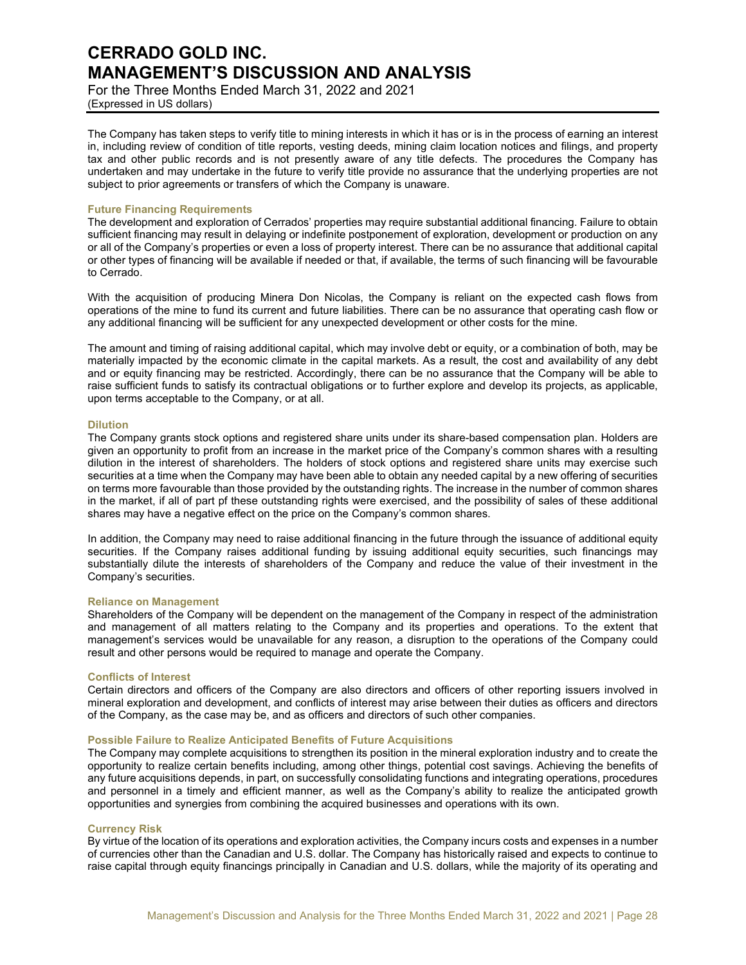For the Three Months Ended March 31, 2022 and 2021 (Expressed in US dollars)

The Company has taken steps to verify title to mining interests in which it has or is in the process of earning an interest in, including review of condition of title reports, vesting deeds, mining claim location notices and filings, and property tax and other public records and is not presently aware of any title defects. The procedures the Company has undertaken and may undertake in the future to verify title provide no assurance that the underlying properties are not subject to prior agreements or transfers of which the Company is unaware.

### **Future Financing Requirements**

The development and exploration of Cerrados' properties may require substantial additional financing. Failure to obtain sufficient financing may result in delaying or indefinite postponement of exploration, development or production on any or all of the Company's properties or even a loss of property interest. There can be no assurance that additional capital or other types of financing will be available if needed or that, if available, the terms of such financing will be favourable to Cerrado.

With the acquisition of producing Minera Don Nicolas, the Company is reliant on the expected cash flows from operations of the mine to fund its current and future liabilities. There can be no assurance that operating cash flow or any additional financing will be sufficient for any unexpected development or other costs for the mine.

The amount and timing of raising additional capital, which may involve debt or equity, or a combination of both, may be materially impacted by the economic climate in the capital markets. As a result, the cost and availability of any debt and or equity financing may be restricted. Accordingly, there can be no assurance that the Company will be able to raise sufficient funds to satisfy its contractual obligations or to further explore and develop its projects, as applicable, upon terms acceptable to the Company, or at all.

### **Dilution**

The Company grants stock options and registered share units under its share-based compensation plan. Holders are given an opportunity to profit from an increase in the market price of the Company's common shares with a resulting dilution in the interest of shareholders. The holders of stock options and registered share units may exercise such securities at a time when the Company may have been able to obtain any needed capital by a new offering of securities on terms more favourable than those provided by the outstanding rights. The increase in the number of common shares in the market, if all of part pf these outstanding rights were exercised, and the possibility of sales of these additional shares may have a negative effect on the price on the Company's common shares.

In addition, the Company may need to raise additional financing in the future through the issuance of additional equity securities. If the Company raises additional funding by issuing additional equity securities, such financings may substantially dilute the interests of shareholders of the Company and reduce the value of their investment in the Company's securities.

## **Reliance on Management**

Shareholders of the Company will be dependent on the management of the Company in respect of the administration and management of all matters relating to the Company and its properties and operations. To the extent that management's services would be unavailable for any reason, a disruption to the operations of the Company could result and other persons would be required to manage and operate the Company.

### **Conflicts of Interest**

Certain directors and officers of the Company are also directors and officers of other reporting issuers involved in mineral exploration and development, and conflicts of interest may arise between their duties as officers and directors of the Company, as the case may be, and as officers and directors of such other companies.

#### **Possible Failure to Realize Anticipated Benefits of Future Acquisitions**

The Company may complete acquisitions to strengthen its position in the mineral exploration industry and to create the opportunity to realize certain benefits including, among other things, potential cost savings. Achieving the benefits of any future acquisitions depends, in part, on successfully consolidating functions and integrating operations, procedures and personnel in a timely and efficient manner, as well as the Company's ability to realize the anticipated growth opportunities and synergies from combining the acquired businesses and operations with its own.

## **Currency Risk**

By virtue of the location of its operations and exploration activities, the Company incurs costs and expenses in a number of currencies other than the Canadian and U.S. dollar. The Company has historically raised and expects to continue to raise capital through equity financings principally in Canadian and U.S. dollars, while the majority of its operating and